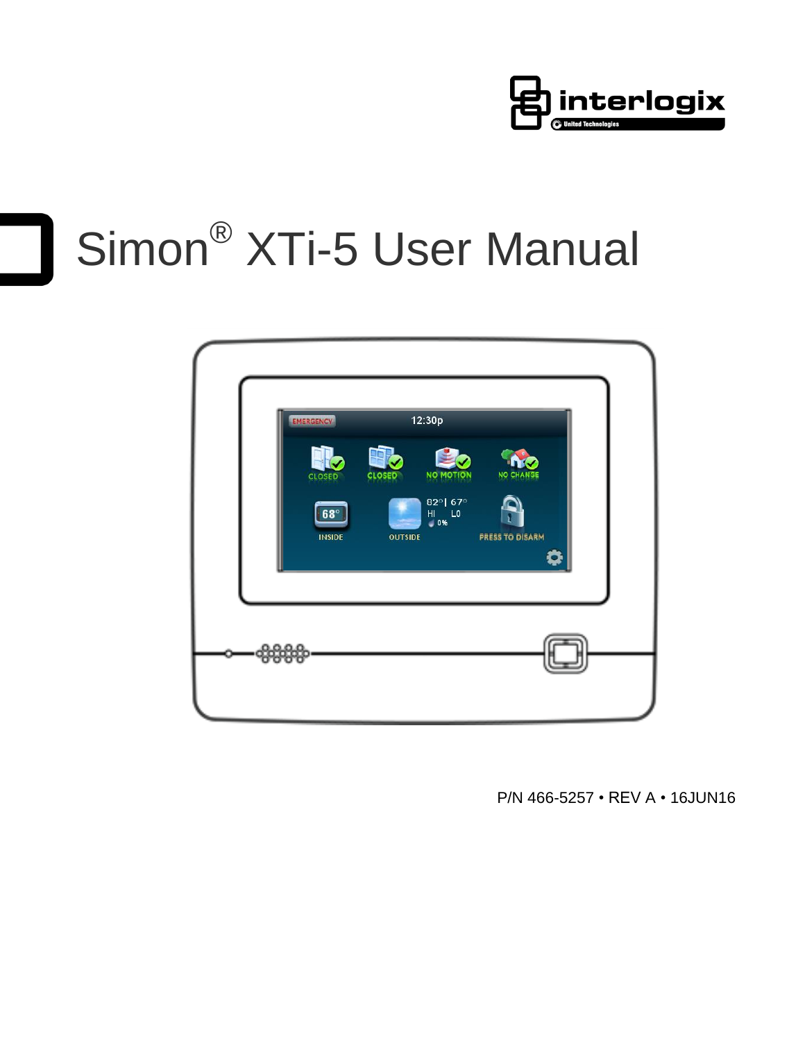

# Simon® XTi-5 User Manual



P/N 466-5257 • REV A • 16JUN16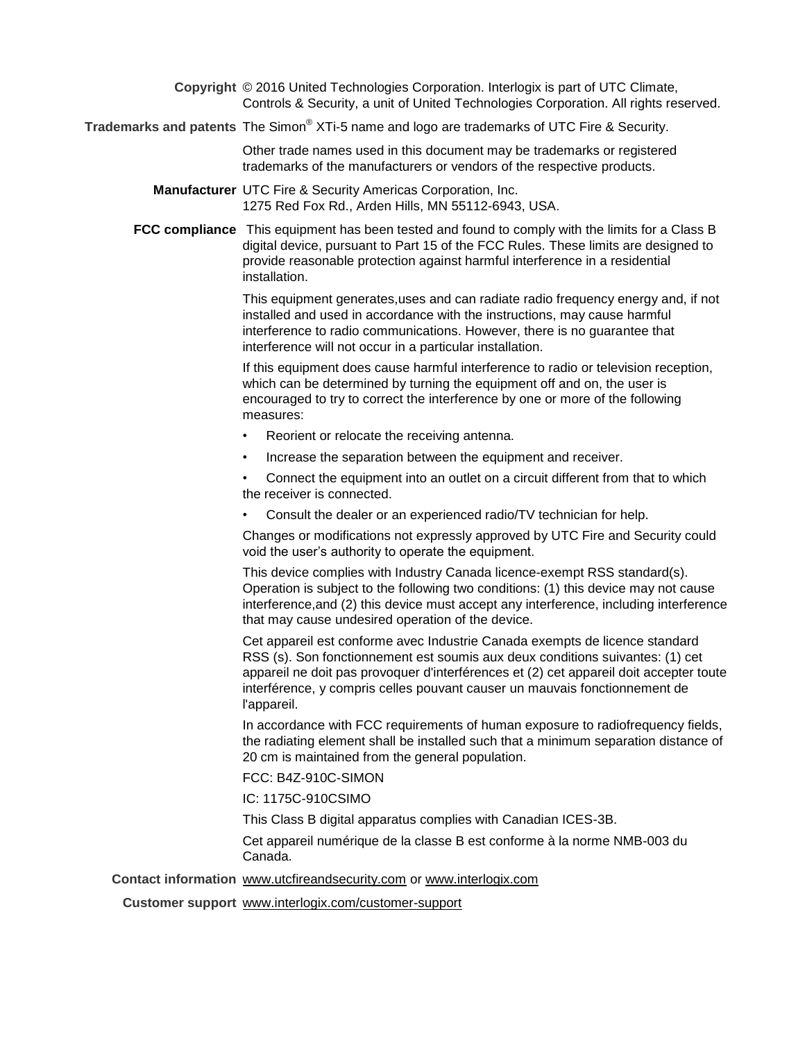**Copyright** © 2016 United Technologies Corporation. Interlogix is part of UTC Climate, Controls & Security, a unit of United Technologies Corporation. All rights reserved.

**Trademarks and patents** The Simon® XTi-5 name and logo are trademarks of UTC Fire & Security.

Other trade names used in this document may be trademarks or registered trademarks of the manufacturers or vendors of the respective products.

**Manufacturer** UTC Fire & Security Americas Corporation, Inc. 1275 Red Fox Rd., Arden Hills, MN 55112-6943, USA.

**FCC compliance** This equipment has been tested and found to comply with the limits for a Class B digital device, pursuant to Part 15 of the FCC Rules. These limits are designed to provide reasonable protection against harmful interference in a residential installation.

> This equipment generates,uses and can radiate radio frequency energy and, if not installed and used in accordance with the instructions, may cause harmful interference to radio communications. However, there is no guarantee that interference will not occur in a particular installation.

If this equipment does cause harmful interference to radio or television reception, which can be determined by turning the equipment off and on, the user is encouraged to try to correct the interference by one or more of the following measures:

- Reorient or relocate the receiving antenna.
- Increase the separation between the equipment and receiver.

• Connect the equipment into an outlet on a circuit different from that to which the receiver is connected.

• Consult the dealer or an experienced radio/TV technician for help.

Changes or modifications not expressly approved by UTC Fire and Security could void the user's authority to operate the equipment.

This device complies with Industry Canada licence-exempt RSS standard(s). Operation is subject to the following two conditions: (1) this device may not cause interference,and (2) this device must accept any interference, including interference that may cause undesired operation of the device.

Cet appareil est conforme avec Industrie Canada exempts de licence standard RSS (s). Son fonctionnement est soumis aux deux conditions suivantes: (1) cet appareil ne doit pas provoquer d'interférences et (2) cet appareil doit accepter toute interférence, y compris celles pouvant causer un mauvais fonctionnement de l'appareil.

In accordance with FCC requirements of human exposure to radiofrequency fields, the radiating element shall be installed such that a minimum separation distance of 20 cm is maintained from the general population.

FCC: B4Z-910C-SIMON

IC: 1175C-910CSIMO

This Class B digital apparatus complies with Canadian ICES-3B.

Cet appareil numérique de la classe B est conforme à la norme NMB-003 du Canada.

#### **Contact information** [www.utcfireandsecurity.com](http://www.utcfireandsecurity.com/) or [www.interlogix.com](http://www.interlogix.com/)

**Customer support** [www.interlogix.com/customer-support](http://www.interlogix.com/customer-support)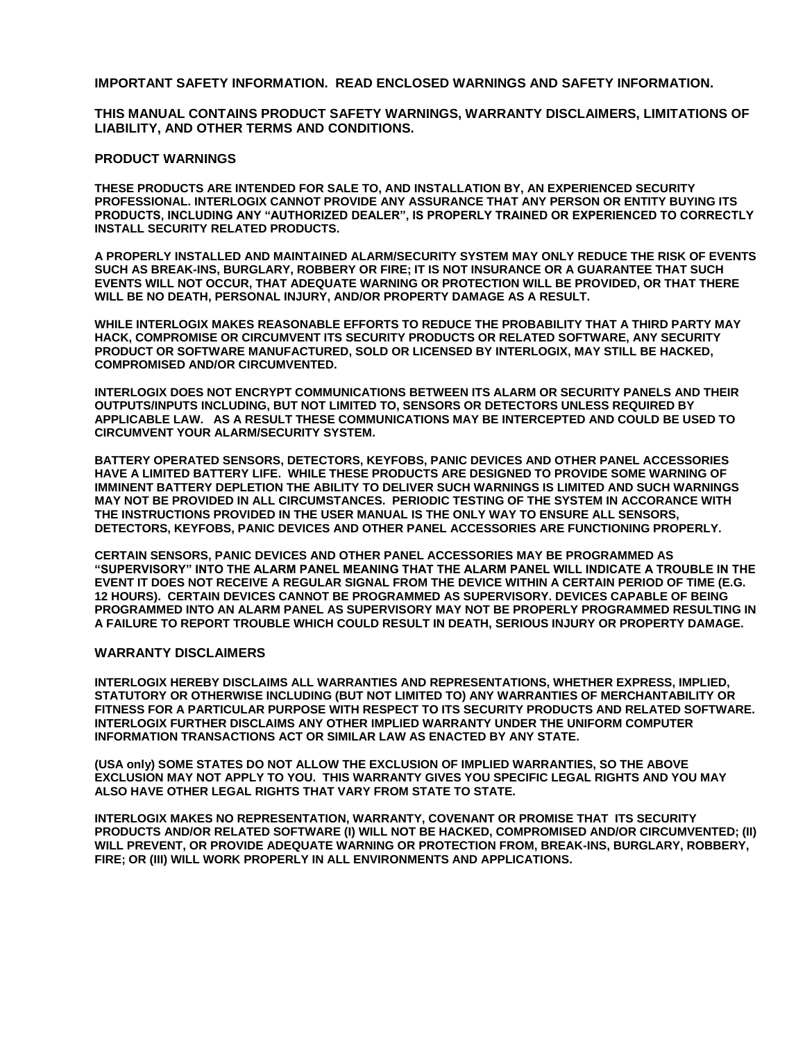**IMPORTANT SAFETY INFORMATION. READ ENCLOSED WARNINGS AND SAFETY INFORMATION.**

**THIS MANUAL CONTAINS PRODUCT SAFETY WARNINGS, WARRANTY DISCLAIMERS, LIMITATIONS OF LIABILITY, AND OTHER TERMS AND CONDITIONS.**

#### **PRODUCT WARNINGS**

**THESE PRODUCTS ARE INTENDED FOR SALE TO, AND INSTALLATION BY, AN EXPERIENCED SECURITY PROFESSIONAL. INTERLOGIX CANNOT PROVIDE ANY ASSURANCE THAT ANY PERSON OR ENTITY BUYING ITS PRODUCTS, INCLUDING ANY "AUTHORIZED DEALER", IS PROPERLY TRAINED OR EXPERIENCED TO CORRECTLY INSTALL SECURITY RELATED PRODUCTS.**

**A PROPERLY INSTALLED AND MAINTAINED ALARM/SECURITY SYSTEM MAY ONLY REDUCE THE RISK OF EVENTS SUCH AS BREAK-INS, BURGLARY, ROBBERY OR FIRE; IT IS NOT INSURANCE OR A GUARANTEE THAT SUCH EVENTS WILL NOT OCCUR, THAT ADEQUATE WARNING OR PROTECTION WILL BE PROVIDED, OR THAT THERE WILL BE NO DEATH, PERSONAL INJURY, AND/OR PROPERTY DAMAGE AS A RESULT.** 

**WHILE INTERLOGIX MAKES REASONABLE EFFORTS TO REDUCE THE PROBABILITY THAT A THIRD PARTY MAY HACK, COMPROMISE OR CIRCUMVENT ITS SECURITY PRODUCTS OR RELATED SOFTWARE, ANY SECURITY PRODUCT OR SOFTWARE MANUFACTURED, SOLD OR LICENSED BY INTERLOGIX, MAY STILL BE HACKED, COMPROMISED AND/OR CIRCUMVENTED.** 

**INTERLOGIX DOES NOT ENCRYPT COMMUNICATIONS BETWEEN ITS ALARM OR SECURITY PANELS AND THEIR OUTPUTS/INPUTS INCLUDING, BUT NOT LIMITED TO, SENSORS OR DETECTORS UNLESS REQUIRED BY APPLICABLE LAW. AS A RESULT THESE COMMUNICATIONS MAY BE INTERCEPTED AND COULD BE USED TO CIRCUMVENT YOUR ALARM/SECURITY SYSTEM.**

**BATTERY OPERATED SENSORS, DETECTORS, KEYFOBS, PANIC DEVICES AND OTHER PANEL ACCESSORIES HAVE A LIMITED BATTERY LIFE. WHILE THESE PRODUCTS ARE DESIGNED TO PROVIDE SOME WARNING OF IMMINENT BATTERY DEPLETION THE ABILITY TO DELIVER SUCH WARNINGS IS LIMITED AND SUCH WARNINGS MAY NOT BE PROVIDED IN ALL CIRCUMSTANCES. PERIODIC TESTING OF THE SYSTEM IN ACCORANCE WITH THE INSTRUCTIONS PROVIDED IN THE USER MANUAL IS THE ONLY WAY TO ENSURE ALL SENSORS, DETECTORS, KEYFOBS, PANIC DEVICES AND OTHER PANEL ACCESSORIES ARE FUNCTIONING PROPERLY.** 

**CERTAIN SENSORS, PANIC DEVICES AND OTHER PANEL ACCESSORIES MAY BE PROGRAMMED AS "SUPERVISORY" INTO THE ALARM PANEL MEANING THAT THE ALARM PANEL WILL INDICATE A TROUBLE IN THE EVENT IT DOES NOT RECEIVE A REGULAR SIGNAL FROM THE DEVICE WITHIN A CERTAIN PERIOD OF TIME (E.G. 12 HOURS). CERTAIN DEVICES CANNOT BE PROGRAMMED AS SUPERVISORY. DEVICES CAPABLE OF BEING PROGRAMMED INTO AN ALARM PANEL AS SUPERVISORY MAY NOT BE PROPERLY PROGRAMMED RESULTING IN A FAILURE TO REPORT TROUBLE WHICH COULD RESULT IN DEATH, SERIOUS INJURY OR PROPERTY DAMAGE.** 

#### **WARRANTY DISCLAIMERS**

**INTERLOGIX HEREBY DISCLAIMS ALL WARRANTIES AND REPRESENTATIONS, WHETHER EXPRESS, IMPLIED, STATUTORY OR OTHERWISE INCLUDING (BUT NOT LIMITED TO) ANY WARRANTIES OF MERCHANTABILITY OR FITNESS FOR A PARTICULAR PURPOSE WITH RESPECT TO ITS SECURITY PRODUCTS AND RELATED SOFTWARE. INTERLOGIX FURTHER DISCLAIMS ANY OTHER IMPLIED WARRANTY UNDER THE UNIFORM COMPUTER INFORMATION TRANSACTIONS ACT OR SIMILAR LAW AS ENACTED BY ANY STATE.**

**(USA only) SOME STATES DO NOT ALLOW THE EXCLUSION OF IMPLIED WARRANTIES, SO THE ABOVE EXCLUSION MAY NOT APPLY TO YOU. THIS WARRANTY GIVES YOU SPECIFIC LEGAL RIGHTS AND YOU MAY ALSO HAVE OTHER LEGAL RIGHTS THAT VARY FROM STATE TO STATE.**

**INTERLOGIX MAKES NO REPRESENTATION, WARRANTY, COVENANT OR PROMISE THAT ITS SECURITY PRODUCTS AND/OR RELATED SOFTWARE (I) WILL NOT BE HACKED, COMPROMISED AND/OR CIRCUMVENTED; (II) WILL PREVENT, OR PROVIDE ADEQUATE WARNING OR PROTECTION FROM, BREAK-INS, BURGLARY, ROBBERY, FIRE; OR (III) WILL WORK PROPERLY IN ALL ENVIRONMENTS AND APPLICATIONS.**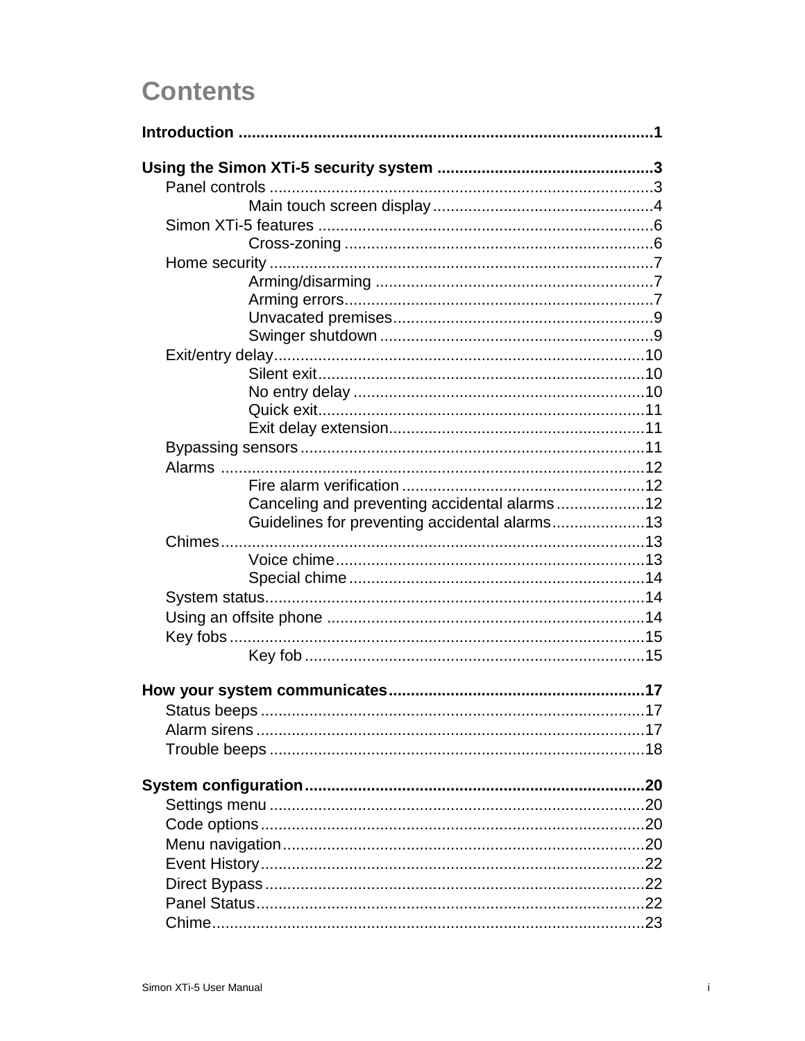# **Contents**

| Canceling and preventing accidental alarms12  |  |
|-----------------------------------------------|--|
| Guidelines for preventing accidental alarms13 |  |
|                                               |  |
|                                               |  |
|                                               |  |
|                                               |  |
|                                               |  |
|                                               |  |
|                                               |  |
|                                               |  |
|                                               |  |
|                                               |  |
|                                               |  |
|                                               |  |
|                                               |  |
|                                               |  |
|                                               |  |
|                                               |  |
|                                               |  |
|                                               |  |
|                                               |  |
|                                               |  |
|                                               |  |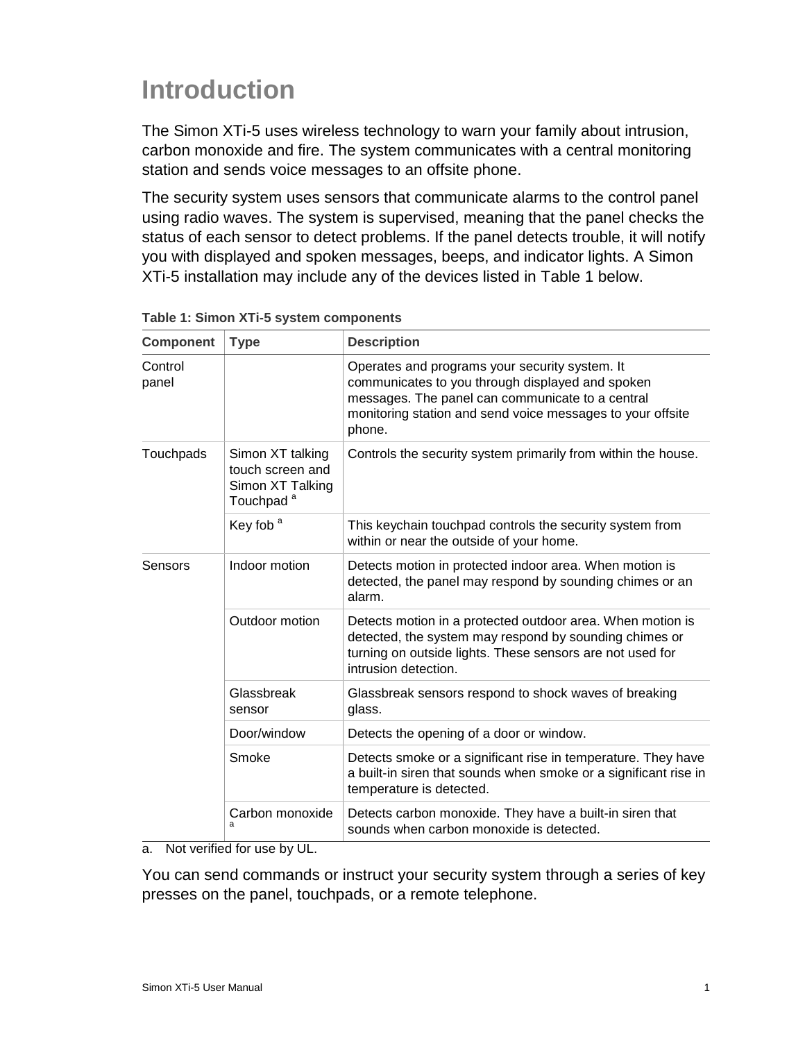# <span id="page-6-0"></span>**Introduction**

The Simon XTi-5 uses wireless technology to warn your family about intrusion, carbon monoxide and fire. The system communicates with a central monitoring station and sends voice messages to an offsite phone.

The security system uses sensors that communicate alarms to the control panel using radio waves. The system is supervised, meaning that the panel checks the status of each sensor to detect problems. If the panel detects trouble, it will notify you with displayed and spoken messages, beeps, and indicator lights. A Simon XTi-5 installation may include any of the devices listed in Table 1 below.

| <b>Component</b> | <b>Type</b>                                                                       | <b>Description</b>                                                                                                                                                                                                             |  |
|------------------|-----------------------------------------------------------------------------------|--------------------------------------------------------------------------------------------------------------------------------------------------------------------------------------------------------------------------------|--|
| Control<br>panel |                                                                                   | Operates and programs your security system. It<br>communicates to you through displayed and spoken<br>messages. The panel can communicate to a central<br>monitoring station and send voice messages to your offsite<br>phone. |  |
| Touchpads        | Simon XT talking<br>touch screen and<br>Simon XT Talking<br>Touchpad <sup>a</sup> | Controls the security system primarily from within the house.                                                                                                                                                                  |  |
|                  | Key fob <sup>a</sup>                                                              | This keychain touchpad controls the security system from<br>within or near the outside of your home.                                                                                                                           |  |
| Sensors          | Indoor motion                                                                     | Detects motion in protected indoor area. When motion is<br>detected, the panel may respond by sounding chimes or an<br>alarm.                                                                                                  |  |
|                  | Outdoor motion                                                                    | Detects motion in a protected outdoor area. When motion is<br>detected, the system may respond by sounding chimes or<br>turning on outside lights. These sensors are not used for<br>intrusion detection.                      |  |
|                  | Glassbreak<br>sensor                                                              | Glassbreak sensors respond to shock waves of breaking<br>glass.                                                                                                                                                                |  |
|                  | Door/window                                                                       | Detects the opening of a door or window.                                                                                                                                                                                       |  |
|                  | Smoke                                                                             | Detects smoke or a significant rise in temperature. They have<br>a built-in siren that sounds when smoke or a significant rise in<br>temperature is detected.                                                                  |  |
|                  | Carbon monoxide<br>a                                                              | Detects carbon monoxide. They have a built-in siren that<br>sounds when carbon monoxide is detected.                                                                                                                           |  |

| Table 1: Simon XTi-5 system components |  |  |  |  |  |  |
|----------------------------------------|--|--|--|--|--|--|
|----------------------------------------|--|--|--|--|--|--|

a. Not verified for use by UL.

You can send commands or instruct your security system through a series of key presses on the panel, touchpads, or a remote telephone.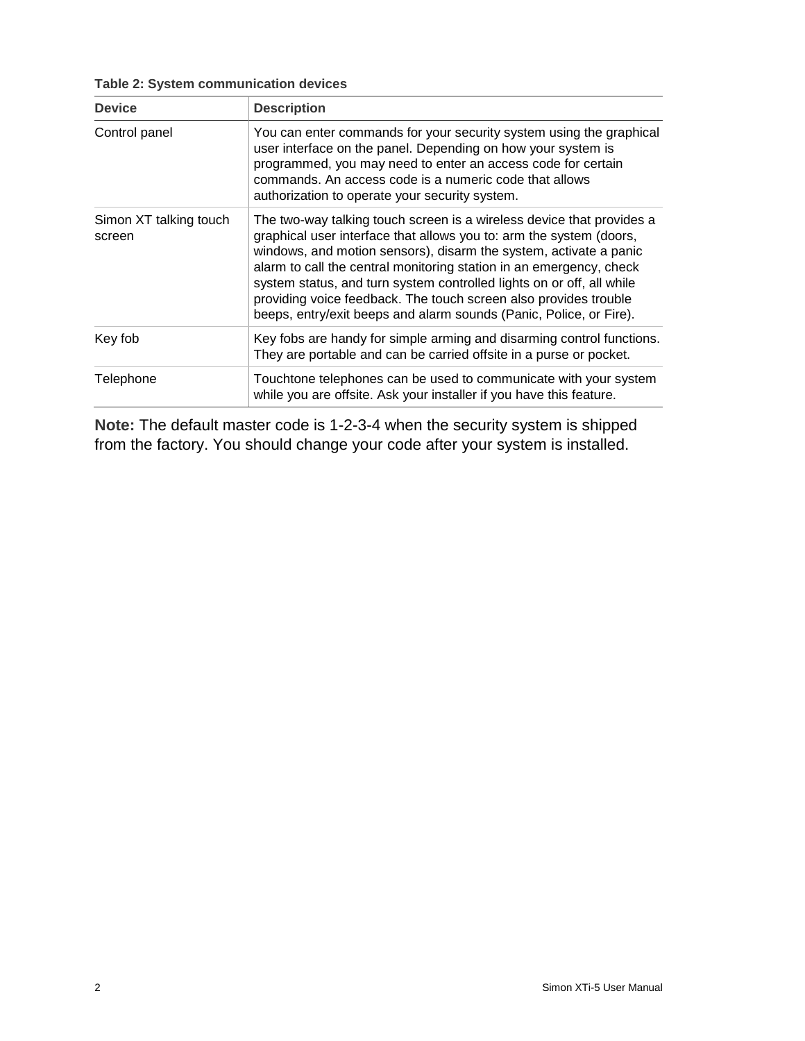|  |  |  | Table 2: System communication devices |  |
|--|--|--|---------------------------------------|--|
|--|--|--|---------------------------------------|--|

| <b>Device</b>                    | <b>Description</b>                                                                                                                                                                                                                                                                                                                                                                                                                                                                                          |
|----------------------------------|-------------------------------------------------------------------------------------------------------------------------------------------------------------------------------------------------------------------------------------------------------------------------------------------------------------------------------------------------------------------------------------------------------------------------------------------------------------------------------------------------------------|
| Control panel                    | You can enter commands for your security system using the graphical<br>user interface on the panel. Depending on how your system is<br>programmed, you may need to enter an access code for certain<br>commands. An access code is a numeric code that allows<br>authorization to operate your security system.                                                                                                                                                                                             |
| Simon XT talking touch<br>screen | The two-way talking touch screen is a wireless device that provides a<br>graphical user interface that allows you to: arm the system (doors,<br>windows, and motion sensors), disarm the system, activate a panic<br>alarm to call the central monitoring station in an emergency, check<br>system status, and turn system controlled lights on or off, all while<br>providing voice feedback. The touch screen also provides trouble<br>beeps, entry/exit beeps and alarm sounds (Panic, Police, or Fire). |
| Key fob                          | Key fobs are handy for simple arming and disarming control functions.<br>They are portable and can be carried offsite in a purse or pocket.                                                                                                                                                                                                                                                                                                                                                                 |
| Telephone                        | Touchtone telephones can be used to communicate with your system<br>while you are offsite. Ask your installer if you have this feature.                                                                                                                                                                                                                                                                                                                                                                     |

**Note:** The default master code is 1-2-3-4 when the security system is shipped from the factory. You should change your code after your system is installed.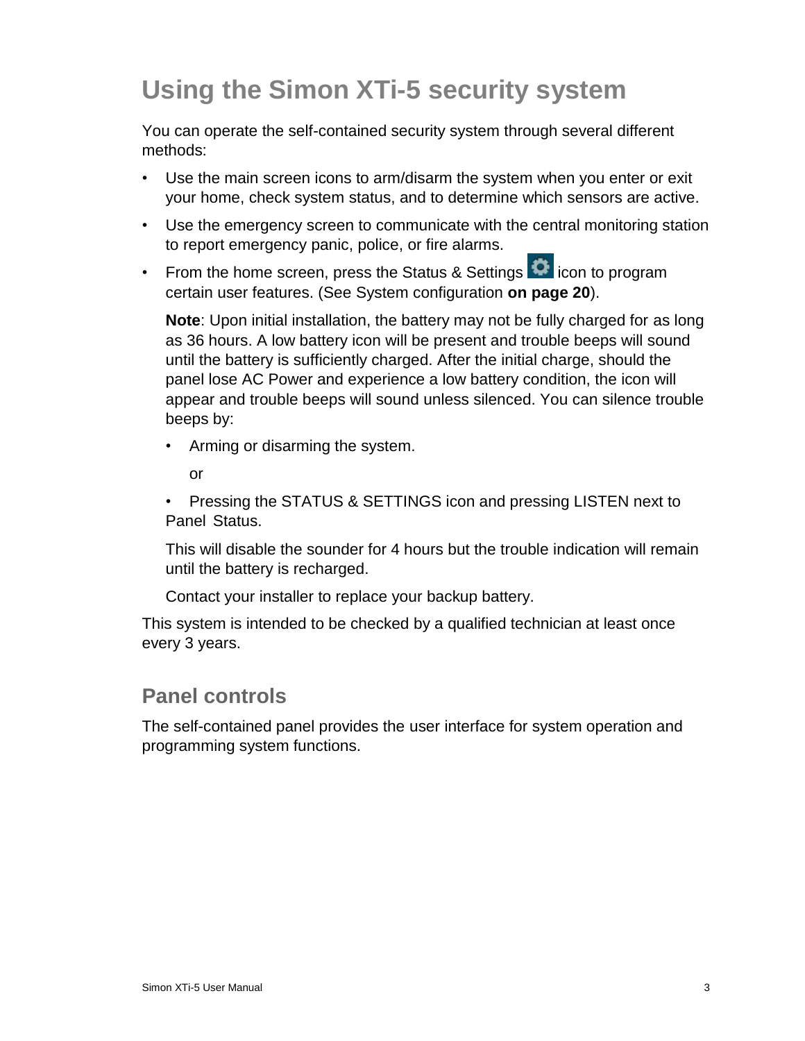# <span id="page-8-0"></span>**Using the Simon XTi-5 security system**

You can operate the self-contained security system through several different methods:

- Use the main screen icons to arm/disarm the system when you enter or exit your home, check system status, and to determine which sensors are active.
- Use the emergency screen to communicate with the central monitoring station to report emergency panic, police, or fire alarms.
- From the home screen, press the Status & Settings **in the literal conting of** icon to program certain user features. (See System configuration **on page 20**).

**Note**: Upon initial installation, the battery may not be fully charged for as long as 36 hours. A low battery icon will be present and trouble beeps will sound until the battery is sufficiently charged. After the initial charge, should the panel lose AC Power and experience a low battery condition, the icon will appear and trouble beeps will sound unless silenced. You can silence trouble beeps by:

- Arming or disarming the system.
	- or

• Pressing the STATUS & SETTINGS icon and pressing LISTEN next to Panel Status.

This will disable the sounder for 4 hours but the trouble indication will remain until the battery is recharged.

Contact your installer to replace your backup battery.

This system is intended to be checked by a qualified technician at least once every 3 years.

### <span id="page-8-1"></span>**Panel controls**

The self-contained panel provides the user interface for system operation and programming system functions.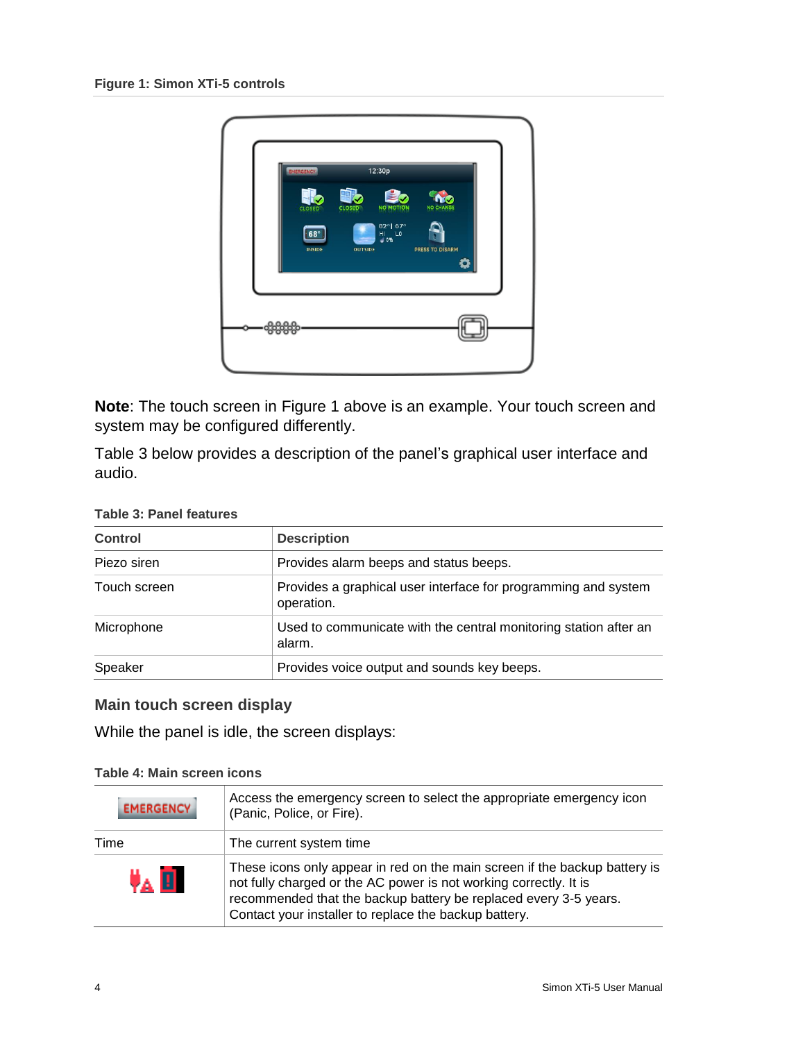

**Note**: The touch screen in Figure 1 above is an example. Your touch screen and system may be configured differently.

Table 3 below provides a description of the panel's graphical user interface and audio.

| <b>Control</b>                                                                               | <b>Description</b>                          |  |
|----------------------------------------------------------------------------------------------|---------------------------------------------|--|
| Piezo siren                                                                                  | Provides alarm beeps and status beeps.      |  |
| Provides a graphical user interface for programming and system<br>Touch screen<br>operation. |                                             |  |
| Used to communicate with the central monitoring station after an<br>Microphone<br>alarm.     |                                             |  |
| Speaker                                                                                      | Provides voice output and sounds key beeps. |  |

#### **Table 3: Panel features**

#### <span id="page-9-0"></span>**Main touch screen display**

While the panel is idle, the screen displays:

#### **Table 4: Main screen icons**

| <b>EMERGENCY</b> | Access the emergency screen to select the appropriate emergency icon<br>(Panic, Police, or Fire).                                                                                                                                                                            |
|------------------|------------------------------------------------------------------------------------------------------------------------------------------------------------------------------------------------------------------------------------------------------------------------------|
| Time             | The current system time                                                                                                                                                                                                                                                      |
| UA EI            | These icons only appear in red on the main screen if the backup battery is<br>not fully charged or the AC power is not working correctly. It is<br>recommended that the backup battery be replaced every 3-5 years.<br>Contact your installer to replace the backup battery. |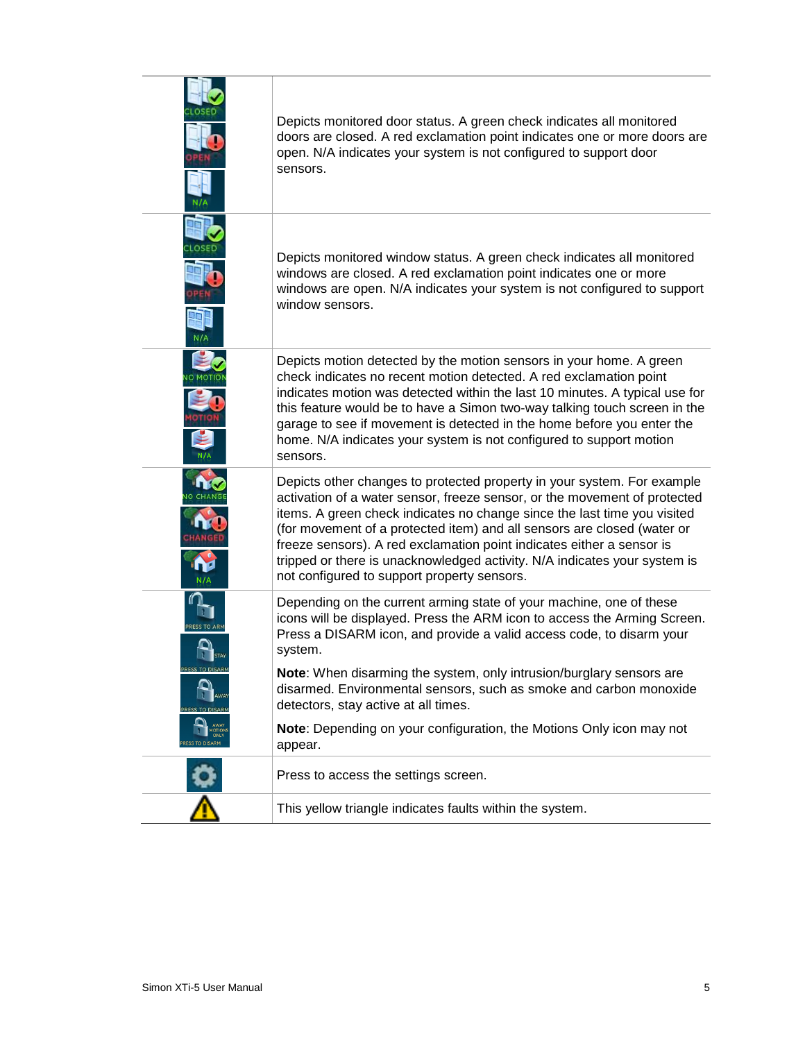|                   | Depicts monitored door status. A green check indicates all monitored<br>doors are closed. A red exclamation point indicates one or more doors are<br>open. N/A indicates your system is not configured to support door<br>sensors.                                                                                                                                                                                                                                                                               |
|-------------------|------------------------------------------------------------------------------------------------------------------------------------------------------------------------------------------------------------------------------------------------------------------------------------------------------------------------------------------------------------------------------------------------------------------------------------------------------------------------------------------------------------------|
|                   | Depicts monitored window status. A green check indicates all monitored<br>windows are closed. A red exclamation point indicates one or more<br>windows are open. N/A indicates your system is not configured to support<br>window sensors.                                                                                                                                                                                                                                                                       |
|                   | Depicts motion detected by the motion sensors in your home. A green<br>check indicates no recent motion detected. A red exclamation point<br>indicates motion was detected within the last 10 minutes. A typical use for<br>this feature would be to have a Simon two-way talking touch screen in the<br>garage to see if movement is detected in the home before you enter the<br>home. N/A indicates your system is not configured to support motion<br>sensors.                                               |
|                   | Depicts other changes to protected property in your system. For example<br>activation of a water sensor, freeze sensor, or the movement of protected<br>items. A green check indicates no change since the last time you visited<br>(for movement of a protected item) and all sensors are closed (water or<br>freeze sensors). A red exclamation point indicates either a sensor is<br>tripped or there is unacknowledged activity. N/A indicates your system is<br>not configured to support property sensors. |
| <b>RESS TO AR</b> | Depending on the current arming state of your machine, one of these<br>icons will be displayed. Press the ARM icon to access the Arming Screen.<br>Press a DISARM icon, and provide a valid access code, to disarm your<br>system.                                                                                                                                                                                                                                                                               |
| PRESS TO DISARM   | Note: When disarming the system, only intrusion/burglary sensors are<br>disarmed. Environmental sensors, such as smoke and carbon monoxide<br>detectors, stay active at all times.<br>Note: Depending on your configuration, the Motions Only icon may not                                                                                                                                                                                                                                                       |
|                   | appear.                                                                                                                                                                                                                                                                                                                                                                                                                                                                                                          |
|                   | Press to access the settings screen.                                                                                                                                                                                                                                                                                                                                                                                                                                                                             |
|                   | This yellow triangle indicates faults within the system.                                                                                                                                                                                                                                                                                                                                                                                                                                                         |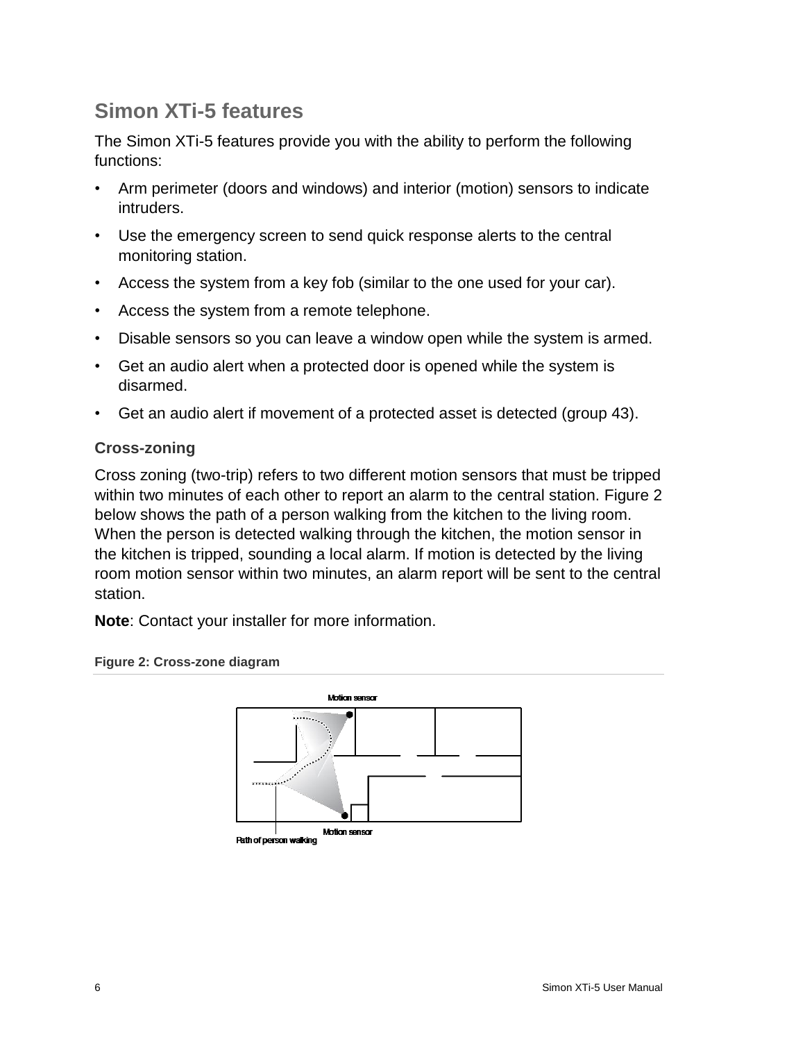# <span id="page-11-0"></span>**Simon XTi-5 features**

The Simon XTi-5 features provide you with the ability to perform the following functions:

- Arm perimeter (doors and windows) and interior (motion) sensors to indicate intruders.
- Use the emergency screen to send quick response alerts to the central monitoring station.
- Access the system from a key fob (similar to the one used for your car).
- Access the system from a remote telephone.
- Disable sensors so you can leave a window open while the system is armed.
- Get an audio alert when a protected door is opened while the system is disarmed.
- Get an audio alert if movement of a protected asset is detected (group 43).

#### <span id="page-11-1"></span>**Cross-zoning**

Cross zoning (two-trip) refers to two different motion sensors that must be tripped within two minutes of each other to report an alarm to the central station. Figure 2 below shows the path of a person walking from the kitchen to the living room. When the person is detected walking through the kitchen, the motion sensor in the kitchen is tripped, sounding a local alarm. If motion is detected by the living room motion sensor within two minutes, an alarm report will be sent to the central station.

**Note**: Contact your installer for more information.





**Path of person walking**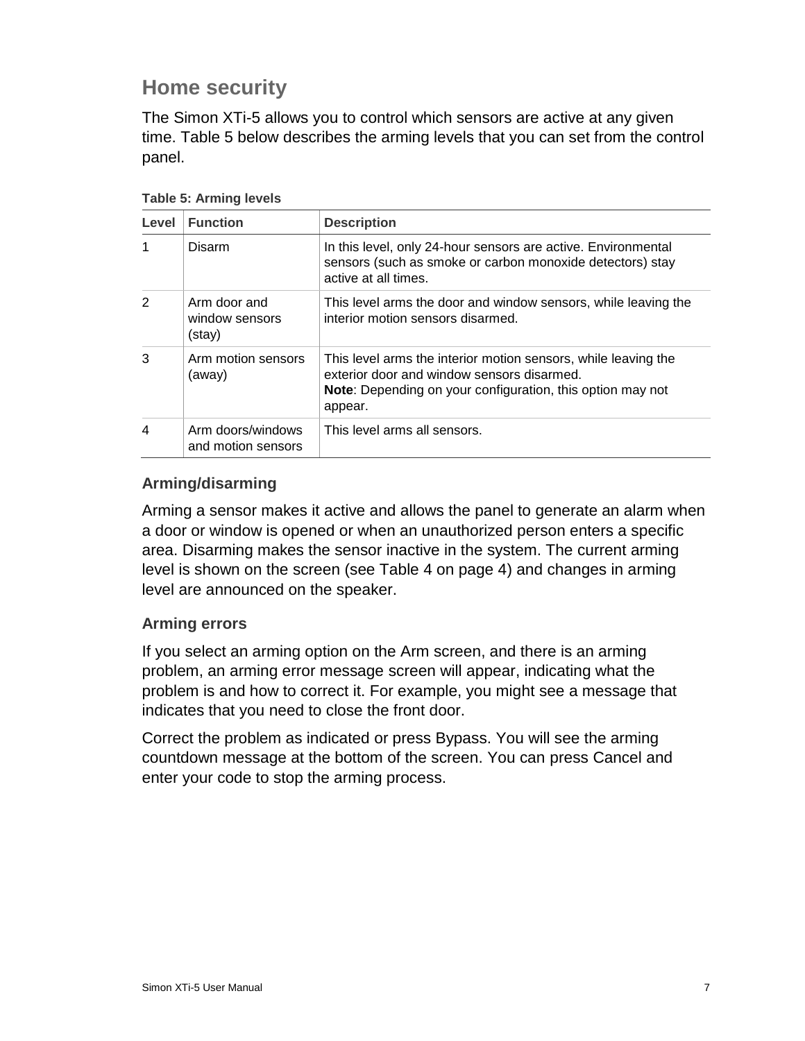# <span id="page-12-0"></span>**Home security**

The Simon XTi-5 allows you to control which sensors are active at any given time. Table 5 below describes the arming levels that you can set from the control panel.

| Level          | <b>Function</b>                          | <b>Description</b>                                                                                                                                                                           |
|----------------|------------------------------------------|----------------------------------------------------------------------------------------------------------------------------------------------------------------------------------------------|
| 1              | Disarm                                   | In this level, only 24-hour sensors are active. Environmental<br>sensors (such as smoke or carbon monoxide detectors) stay<br>active at all times.                                           |
| 2              | Arm door and<br>window sensors<br>(stay) | This level arms the door and window sensors, while leaving the<br>interior motion sensors disarmed.                                                                                          |
| 3              | Arm motion sensors<br>(away)             | This level arms the interior motion sensors, while leaving the<br>exterior door and window sensors disarmed.<br><b>Note:</b> Depending on your configuration, this option may not<br>appear. |
| $\overline{4}$ | Arm doors/windows<br>and motion sensors  | This level arms all sensors.                                                                                                                                                                 |

**Table 5: Arming levels**

#### <span id="page-12-1"></span>**Arming/disarming**

Arming a sensor makes it active and allows the panel to generate an alarm when a door or window is opened or when an unauthorized person enters a specific area. Disarming makes the sensor inactive in the system. The current arming level is shown on the screen (see Table 4 on page 4) and changes in arming level are announced on the speaker.

#### <span id="page-12-2"></span>**Arming errors**

If you select an arming option on the Arm screen, and there is an arming problem, an arming error message screen will appear, indicating what the problem is and how to correct it. For example, you might see a message that indicates that you need to close the front door.

Correct the problem as indicated or press Bypass. You will see the arming countdown message at the bottom of the screen. You can press Cancel and enter your code to stop the arming process.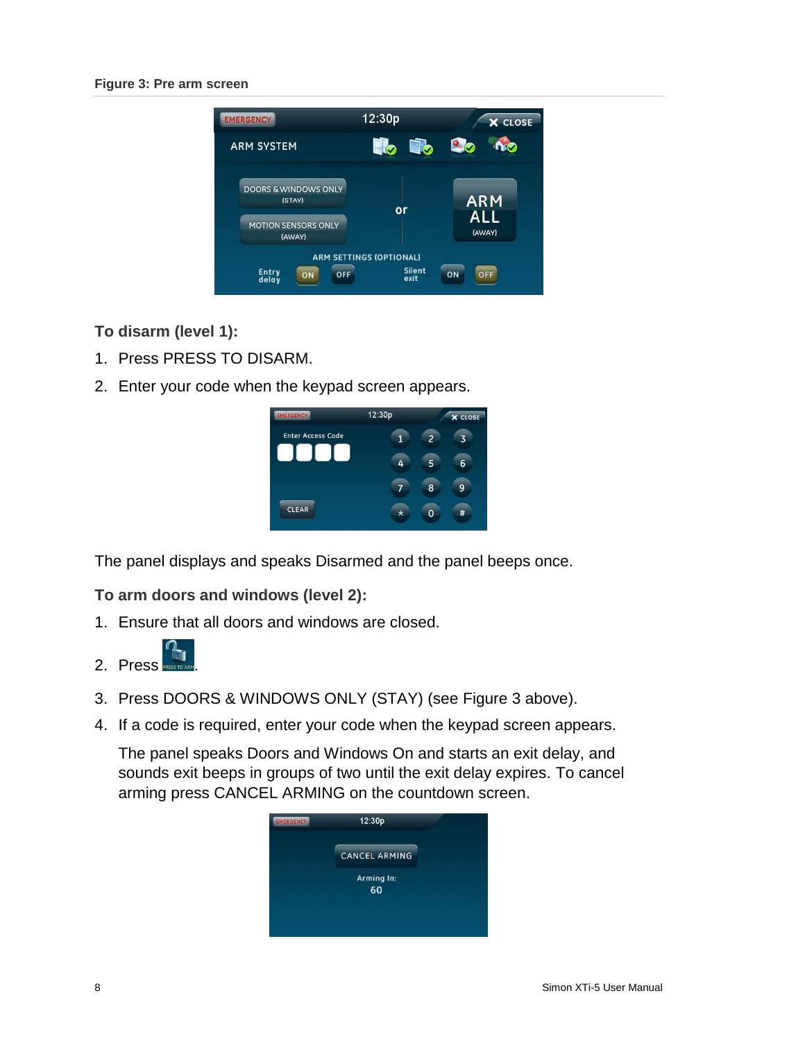#### **Figure 3: Pre arm screen**



**To disarm (level 1):**

- 1. Press PRESS TO DISARM.
- 2. Enter your code when the keypad screen appears.

| <b>EMERGENCY</b>         | 12:30p |   | <b>X</b> CLOSE |
|--------------------------|--------|---|----------------|
| <b>Enter Access Code</b> |        |   |                |
|                          |        |   | 6              |
|                          |        | 8 |                |
| <b>CLEAR</b>             | ×      |   |                |

The panel displays and speaks Disarmed and the panel beeps once.

#### **To arm doors and windows (level 2):**

- 1. Ensure that all doors and windows are closed.
- 2. Press PRESS TO ARM
- 3. Press DOORS & WINDOWS ONLY (STAY) (see Figure 3 above).
- 4. If a code is required, enter your code when the keypad screen appears.

The panel speaks Doors and Windows On and starts an exit delay, and sounds exit beeps in groups of two until the exit delay expires. To cancel arming press CANCEL ARMING on the countdown screen.

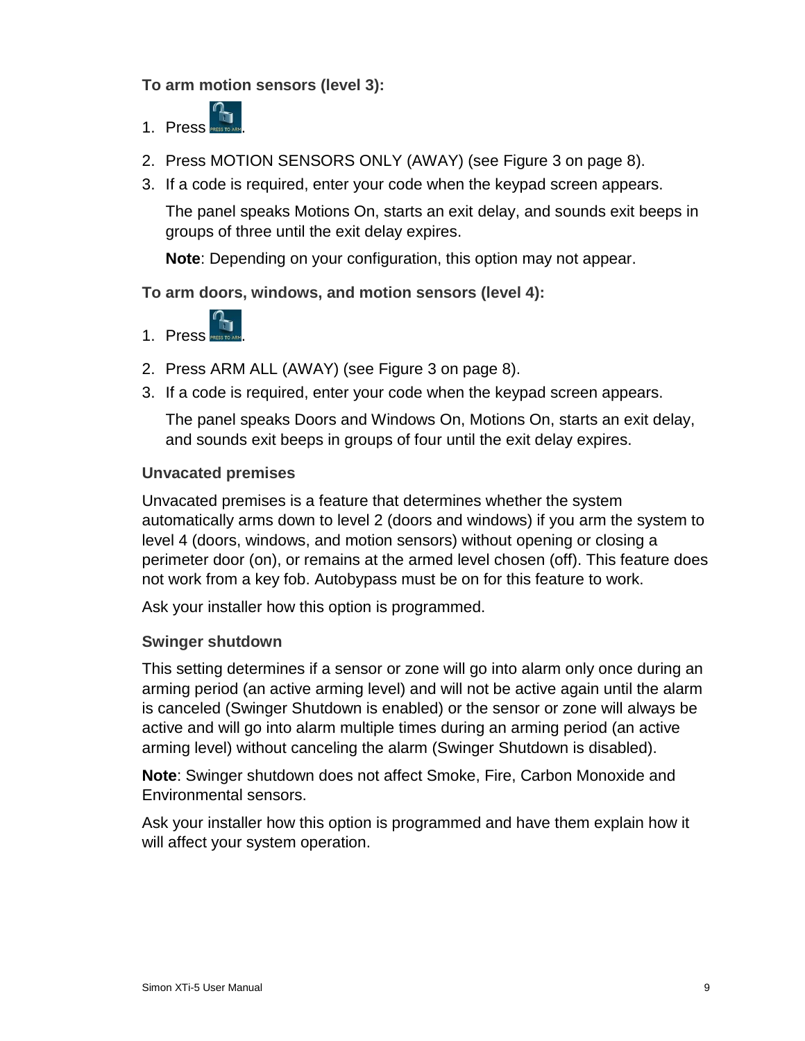**To arm motion sensors (level 3):**

- 1. Press .
- 2. Press MOTION SENSORS ONLY (AWAY) (see Figure 3 on page 8).
- 3. If a code is required, enter your code when the keypad screen appears.

The panel speaks Motions On, starts an exit delay, and sounds exit beeps in groups of three until the exit delay expires.

**Note**: Depending on your configuration, this option may not appear.

#### **To arm doors, windows, and motion sensors (level 4):**



- 2. Press ARM ALL (AWAY) (see Figure 3 on page 8).
- 3. If a code is required, enter your code when the keypad screen appears.

The panel speaks Doors and Windows On, Motions On, starts an exit delay, and sounds exit beeps in groups of four until the exit delay expires.

#### <span id="page-14-0"></span>**Unvacated premises**

Unvacated premises is a feature that determines whether the system automatically arms down to level 2 (doors and windows) if you arm the system to level 4 (doors, windows, and motion sensors) without opening or closing a perimeter door (on), or remains at the armed level chosen (off). This feature does not work from a key fob. Autobypass must be on for this feature to work.

Ask your installer how this option is programmed.

#### <span id="page-14-1"></span>**Swinger shutdown**

This setting determines if a sensor or zone will go into alarm only once during an arming period (an active arming level) and will not be active again until the alarm is canceled (Swinger Shutdown is enabled) or the sensor or zone will always be active and will go into alarm multiple times during an arming period (an active arming level) without canceling the alarm (Swinger Shutdown is disabled).

**Note**: Swinger shutdown does not affect Smoke, Fire, Carbon Monoxide and Environmental sensors.

Ask your installer how this option is programmed and have them explain how it will affect your system operation.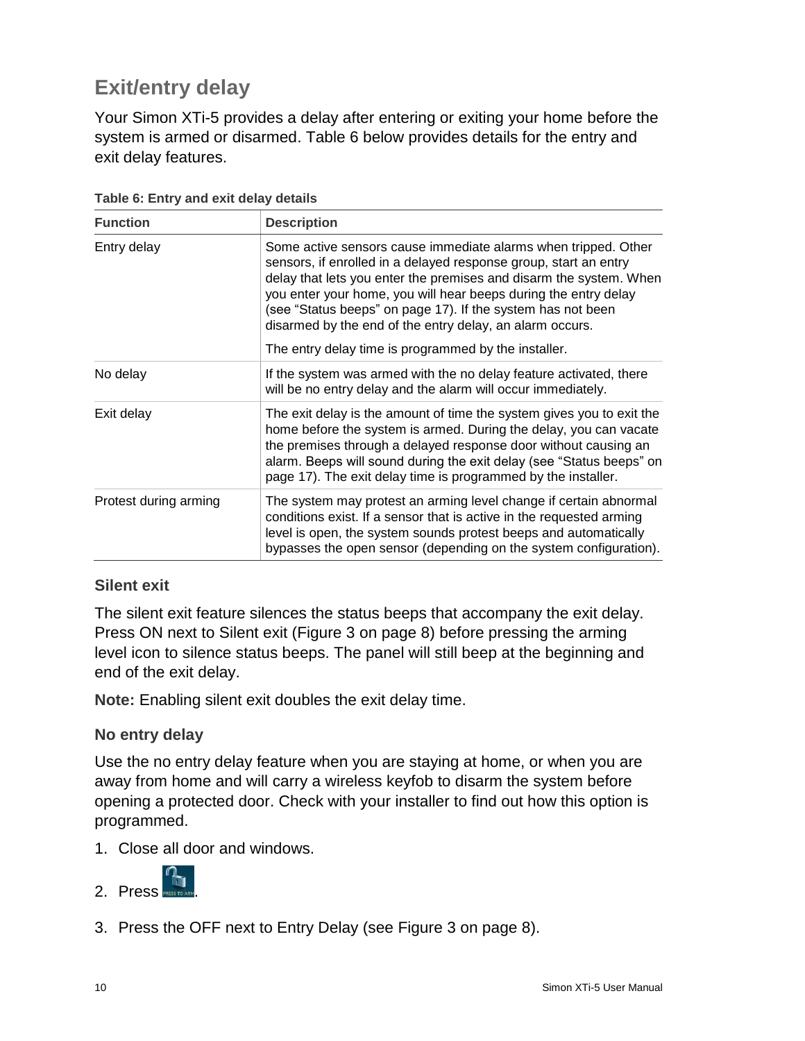# <span id="page-15-0"></span>**Exit/entry delay**

Your Simon XTi-5 provides a delay after entering or exiting your home before the system is armed or disarmed. Table 6 below provides details for the entry and exit delay features.

| <b>Function</b>       | <b>Description</b>                                                                                                                                                                                                                                                                                                                                                                                     |  |
|-----------------------|--------------------------------------------------------------------------------------------------------------------------------------------------------------------------------------------------------------------------------------------------------------------------------------------------------------------------------------------------------------------------------------------------------|--|
| Entry delay           | Some active sensors cause immediate alarms when tripped. Other<br>sensors, if enrolled in a delayed response group, start an entry<br>delay that lets you enter the premises and disarm the system. When<br>you enter your home, you will hear beeps during the entry delay<br>(see "Status beeps" on page 17). If the system has not been<br>disarmed by the end of the entry delay, an alarm occurs. |  |
|                       | The entry delay time is programmed by the installer.                                                                                                                                                                                                                                                                                                                                                   |  |
| No delay              | If the system was armed with the no delay feature activated, there<br>will be no entry delay and the alarm will occur immediately.                                                                                                                                                                                                                                                                     |  |
| Exit delay            | The exit delay is the amount of time the system gives you to exit the<br>home before the system is armed. During the delay, you can vacate<br>the premises through a delayed response door without causing an<br>alarm. Beeps will sound during the exit delay (see "Status beeps" on<br>page 17). The exit delay time is programmed by the installer.                                                 |  |
| Protest during arming | The system may protest an arming level change if certain abnormal<br>conditions exist. If a sensor that is active in the requested arming<br>level is open, the system sounds protest beeps and automatically<br>bypasses the open sensor (depending on the system configuration).                                                                                                                     |  |

**Table 6: Entry and exit delay details**

#### <span id="page-15-1"></span>**Silent exit**

The silent exit feature silences the status beeps that accompany the exit delay. Press ON next to Silent exit (Figure 3 on page 8) before pressing the arming level icon to silence status beeps. The panel will still beep at the beginning and end of the exit delay.

**Note:** Enabling silent exit doubles the exit delay time.

#### <span id="page-15-2"></span>**No entry delay**

Use the no entry delay feature when you are staying at home, or when you are away from home and will carry a wireless keyfob to disarm the system before opening a protected door. Check with your installer to find out how this option is programmed.

1. Close all door and windows.



3. Press the OFF next to Entry Delay (see Figure 3 on page 8).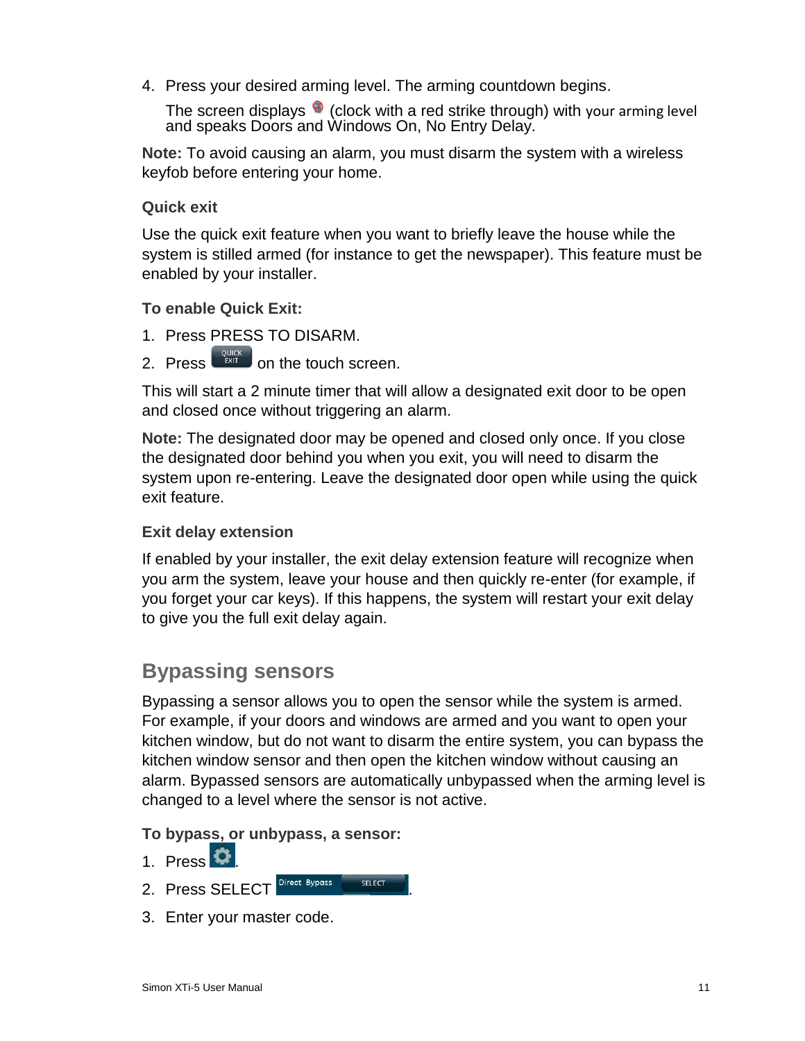4. Press your desired arming level. The arming countdown begins.

The screen displays  $\bullet$  (clock with a red strike through) with your arming level and speaks Doors and Windows On, No Entry Delay.

**Note:** To avoid causing an alarm, you must disarm the system with a wireless keyfob before entering your home.

#### <span id="page-16-0"></span>**Quick exit**

Use the quick exit feature when you want to briefly leave the house while the system is stilled armed (for instance to get the newspaper). This feature must be enabled by your installer.

**To enable Quick Exit:**

- 1. Press PRESS TO DISARM.
- 2. Press  $\frac{QUICK}{EMT}$  on the touch screen.

This will start a 2 minute timer that will allow a designated exit door to be open and closed once without triggering an alarm.

**Note:** The designated door may be opened and closed only once. If you close the designated door behind you when you exit, you will need to disarm the system upon re-entering. Leave the designated door open while using the quick exit feature.

#### <span id="page-16-1"></span>**Exit delay extension**

If enabled by your installer, the exit delay extension feature will recognize when you arm the system, leave your house and then quickly re-enter (for example, if you forget your car keys). If this happens, the system will restart your exit delay to give you the full exit delay again.

### <span id="page-16-2"></span>**Bypassing sensors**

Bypassing a sensor allows you to open the sensor while the system is armed. For example, if your doors and windows are armed and you want to open your kitchen window, but do not want to disarm the entire system, you can bypass the kitchen window sensor and then open the kitchen window without causing an alarm. Bypassed sensors are automatically unbypassed when the arming level is changed to a level where the sensor is not active.

**To bypass, or unbypass, a sensor:**

- 1. Press  $\bullet$
- 2. Press SELECT Direct Bypass SELECT
- 3. Enter your master code.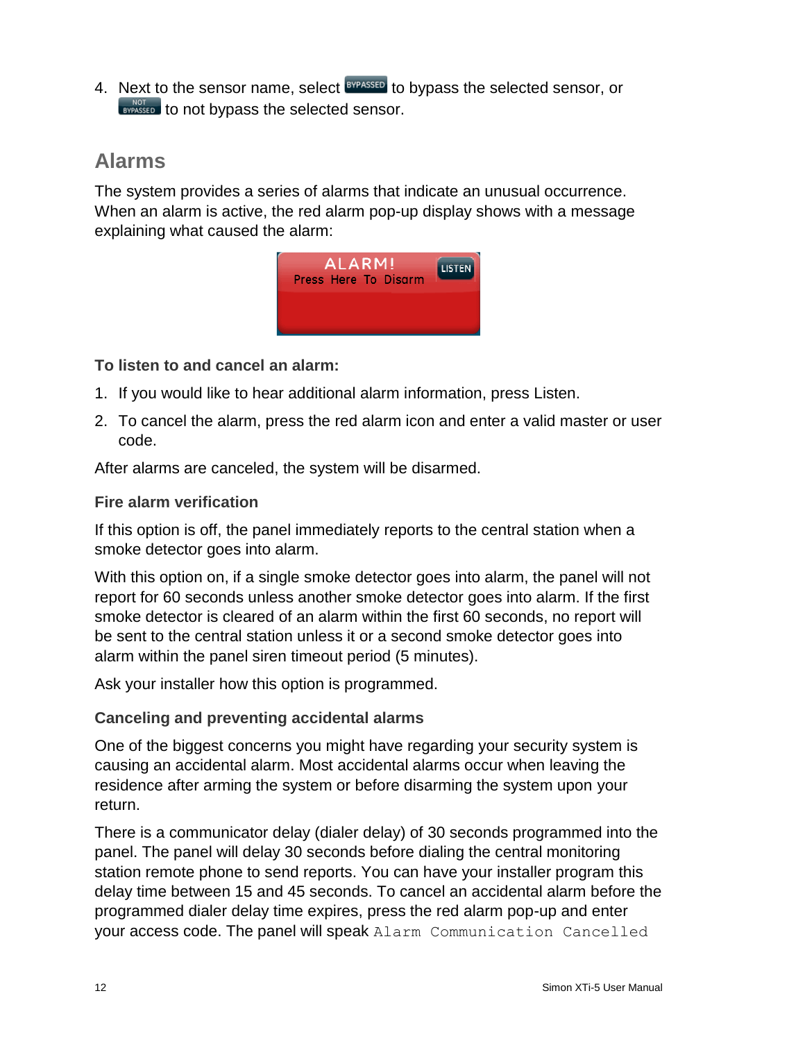4. Next to the sensor name, select **BYPASSED** to bypass the selected sensor, or **EVPASSED** to not bypass the selected sensor.

# <span id="page-17-0"></span>**Alarms**

The system provides a series of alarms that indicate an unusual occurrence. When an alarm is active, the red alarm pop-up display shows with a message explaining what caused the alarm:



**To listen to and cancel an alarm:**

- 1. If you would like to hear additional alarm information, press Listen.
- 2. To cancel the alarm, press the red alarm icon and enter a valid master or user code.

After alarms are canceled, the system will be disarmed.

#### <span id="page-17-1"></span>**Fire alarm verification**

If this option is off, the panel immediately reports to the central station when a smoke detector goes into alarm.

With this option on, if a single smoke detector goes into alarm, the panel will not report for 60 seconds unless another smoke detector goes into alarm. If the first smoke detector is cleared of an alarm within the first 60 seconds, no report will be sent to the central station unless it or a second smoke detector goes into alarm within the panel siren timeout period (5 minutes).

Ask your installer how this option is programmed.

#### <span id="page-17-2"></span>**Canceling and preventing accidental alarms**

One of the biggest concerns you might have regarding your security system is causing an accidental alarm. Most accidental alarms occur when leaving the residence after arming the system or before disarming the system upon your return.

There is a communicator delay (dialer delay) of 30 seconds programmed into the panel. The panel will delay 30 seconds before dialing the central monitoring station remote phone to send reports. You can have your installer program this delay time between 15 and 45 seconds. To cancel an accidental alarm before the programmed dialer delay time expires, press the red alarm pop-up and enter your access code. The panel will speak Alarm Communication Cancelled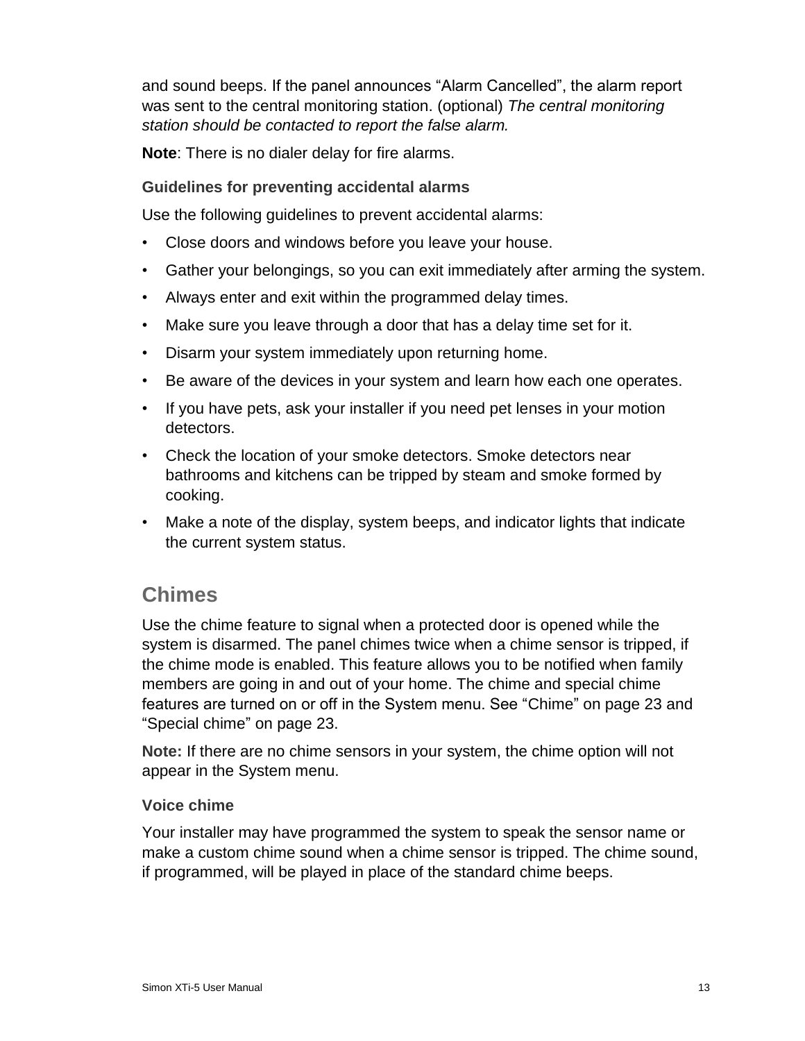and sound beeps. If the panel announces "Alarm Cancelled", the alarm report was sent to the central monitoring station. (optional) *The central monitoring station should be contacted to report the false alarm.*

**Note**: There is no dialer delay for fire alarms.

#### <span id="page-18-0"></span>**Guidelines for preventing accidental alarms**

Use the following guidelines to prevent accidental alarms:

- Close doors and windows before you leave your house.
- Gather your belongings, so you can exit immediately after arming the system.
- Always enter and exit within the programmed delay times.
- Make sure you leave through a door that has a delay time set for it.
- Disarm your system immediately upon returning home.
- Be aware of the devices in your system and learn how each one operates.
- If you have pets, ask your installer if you need pet lenses in your motion detectors.
- Check the location of your smoke detectors. Smoke detectors near bathrooms and kitchens can be tripped by steam and smoke formed by cooking.
- Make a note of the display, system beeps, and indicator lights that indicate the current system status.

### <span id="page-18-1"></span>**Chimes**

Use the chime feature to signal when a protected door is opened while the system is disarmed. The panel chimes twice when a chime sensor is tripped, if the chime mode is enabled. This feature allows you to be notified when family members are going in and out of your home. The chime and special chime features are turned on or off in the System menu. See "Chime" on page 23 and "Special chime" on page 23.

**Note:** If there are no chime sensors in your system, the chime option will not appear in the System menu.

#### <span id="page-18-2"></span>**Voice chime**

Your installer may have programmed the system to speak the sensor name or make a custom chime sound when a chime sensor is tripped. The chime sound, if programmed, will be played in place of the standard chime beeps.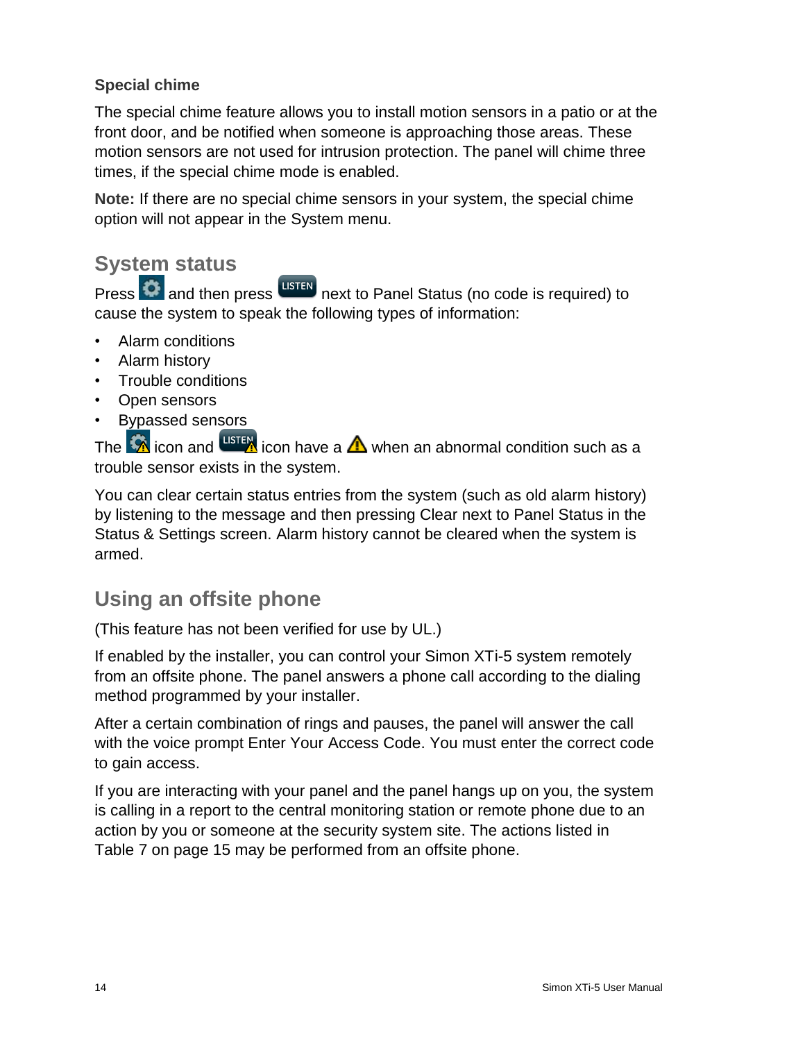#### <span id="page-19-0"></span>**Special chime**

The special chime feature allows you to install motion sensors in a patio or at the front door, and be notified when someone is approaching those areas. These motion sensors are not used for intrusion protection. The panel will chime three times, if the special chime mode is enabled.

**Note:** If there are no special chime sensors in your system, the special chime option will not appear in the System menu.

# <span id="page-19-1"></span>**System status**

Press  $\Omega$  and then press uster next to Panel Status (no code is required) to cause the system to speak the following types of information:

- Alarm conditions
- Alarm history
- Trouble conditions
- Open sensors
- Bypassed sensors

The  $\hat{X}$  icon and  $\frac{M}{N}$  icon have a  $\Delta$  when an abnormal condition such as a trouble sensor exists in the system.

You can clear certain status entries from the system (such as old alarm history) by listening to the message and then pressing Clear next to Panel Status in the Status & Settings screen. Alarm history cannot be cleared when the system is armed.

# <span id="page-19-2"></span>**Using an offsite phone**

(This feature has not been verified for use by UL.)

If enabled by the installer, you can control your Simon XTi-5 system remotely from an offsite phone. The panel answers a phone call according to the dialing method programmed by your installer.

After a certain combination of rings and pauses, the panel will answer the call with the voice prompt Enter Your Access Code. You must enter the correct code to gain access.

If you are interacting with your panel and the panel hangs up on you, the system is calling in a report to the central monitoring station or remote phone due to an action by you or someone at the security system site. The actions listed in Table 7 on page 15 may be performed from an offsite phone.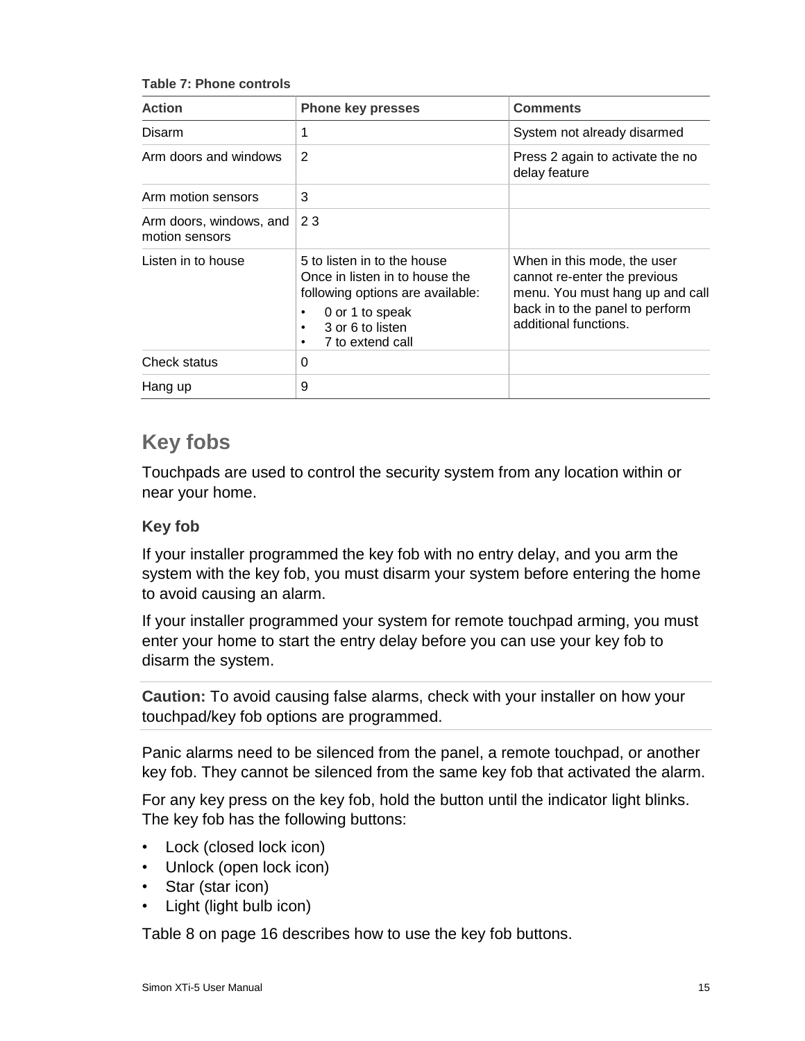**Table 7: Phone controls**

| <b>Action</b>                             | <b>Phone key presses</b>                                                                                                                                                    | <b>Comments</b>                                                                                                                                            |
|-------------------------------------------|-----------------------------------------------------------------------------------------------------------------------------------------------------------------------------|------------------------------------------------------------------------------------------------------------------------------------------------------------|
| Disarm                                    | 1                                                                                                                                                                           | System not already disarmed                                                                                                                                |
| Arm doors and windows                     | 2                                                                                                                                                                           | Press 2 again to activate the no<br>delay feature                                                                                                          |
| Arm motion sensors                        | 3                                                                                                                                                                           |                                                                                                                                                            |
| Arm doors, windows, and<br>motion sensors | 23                                                                                                                                                                          |                                                                                                                                                            |
| Listen in to house                        | 5 to listen in to the house<br>Once in listen in to house the<br>following options are available:<br>0 or 1 to speak<br>٠<br>3 or 6 to listen<br>٠<br>7 to extend call<br>٠ | When in this mode, the user<br>cannot re-enter the previous<br>menu. You must hang up and call<br>back in to the panel to perform<br>additional functions. |
| Check status                              | 0                                                                                                                                                                           |                                                                                                                                                            |
| Hang up                                   | 9                                                                                                                                                                           |                                                                                                                                                            |

# <span id="page-20-0"></span>**Key fobs**

Touchpads are used to control the security system from any location within or near your home.

#### <span id="page-20-1"></span>**Key fob**

If your installer programmed the key fob with no entry delay, and you arm the system with the key fob, you must disarm your system before entering the home to avoid causing an alarm.

If your installer programmed your system for remote touchpad arming, you must enter your home to start the entry delay before you can use your key fob to disarm the system.

**Caution:** To avoid causing false alarms, check with your installer on how your touchpad/key fob options are programmed.

Panic alarms need to be silenced from the panel, a remote touchpad, or another key fob. They cannot be silenced from the same key fob that activated the alarm.

For any key press on the key fob, hold the button until the indicator light blinks. The key fob has the following buttons:

- Lock (closed lock icon)
- Unlock (open lock icon)
- Star (star icon)
- Light (light bulb icon)

Table 8 on page 16 describes how to use the key fob buttons.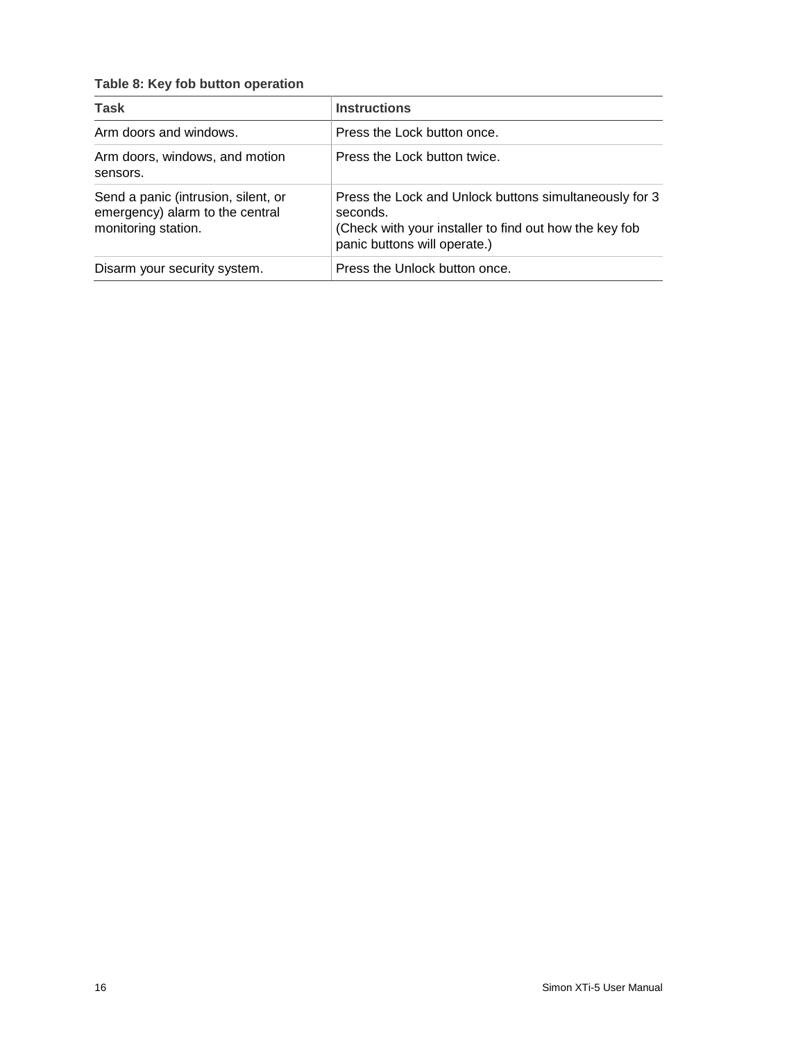#### **Table 8: Key fob button operation**

| <b>Task</b>                                                                                   | <b>Instructions</b>                                                                                                                                          |
|-----------------------------------------------------------------------------------------------|--------------------------------------------------------------------------------------------------------------------------------------------------------------|
| Arm doors and windows.                                                                        | Press the Lock button once.                                                                                                                                  |
| Arm doors, windows, and motion<br>sensors.                                                    | Press the Lock button twice.                                                                                                                                 |
| Send a panic (intrusion, silent, or<br>emergency) alarm to the central<br>monitoring station. | Press the Lock and Unlock buttons simultaneously for 3<br>seconds.<br>(Check with your installer to find out how the key fob<br>panic buttons will operate.) |
| Disarm your security system.                                                                  | Press the Unlock button once.                                                                                                                                |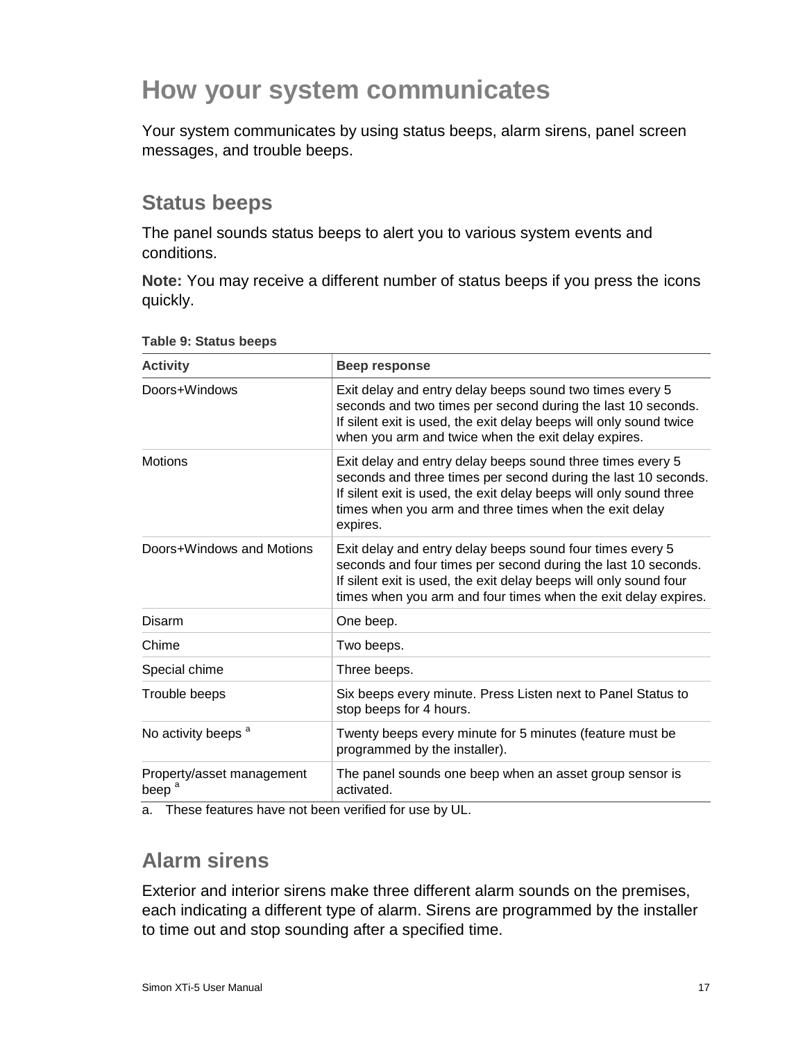# <span id="page-22-0"></span>**How your system communicates**

Your system communicates by using status beeps, alarm sirens, panel screen messages, and trouble beeps.

# <span id="page-22-1"></span>**Status beeps**

The panel sounds status beeps to alert you to various system events and conditions.

**Note:** You may receive a different number of status beeps if you press the icons quickly.

| <b>Activity</b>                                | Beep response                                                                                                                                                                                                                                                            |
|------------------------------------------------|--------------------------------------------------------------------------------------------------------------------------------------------------------------------------------------------------------------------------------------------------------------------------|
| Doors+Windows                                  | Exit delay and entry delay beeps sound two times every 5<br>seconds and two times per second during the last 10 seconds.<br>If silent exit is used, the exit delay beeps will only sound twice<br>when you arm and twice when the exit delay expires.                    |
| <b>Motions</b>                                 | Exit delay and entry delay beeps sound three times every 5<br>seconds and three times per second during the last 10 seconds.<br>If silent exit is used, the exit delay beeps will only sound three<br>times when you arm and three times when the exit delay<br>expires. |
| Doors+Windows and Motions                      | Exit delay and entry delay beeps sound four times every 5<br>seconds and four times per second during the last 10 seconds.<br>If silent exit is used, the exit delay beeps will only sound four<br>times when you arm and four times when the exit delay expires.        |
| Disarm                                         | One beep.                                                                                                                                                                                                                                                                |
| Chime                                          | Two beeps.                                                                                                                                                                                                                                                               |
| Special chime                                  | Three beeps.                                                                                                                                                                                                                                                             |
| Trouble beeps                                  | Six beeps every minute. Press Listen next to Panel Status to<br>stop beeps for 4 hours.                                                                                                                                                                                  |
| No activity beeps <sup>a</sup>                 | Twenty beeps every minute for 5 minutes (feature must be<br>programmed by the installer).                                                                                                                                                                                |
| Property/asset management<br>beep <sup>a</sup> | The panel sounds one beep when an asset group sensor is<br>activated.                                                                                                                                                                                                    |

#### **Table 9: Status beeps**

<span id="page-22-2"></span>a. These features have not been verified for use by UL.

# **Alarm sirens**

Exterior and interior sirens make three different alarm sounds on the premises, each indicating a different type of alarm. Sirens are programmed by the installer to time out and stop sounding after a specified time.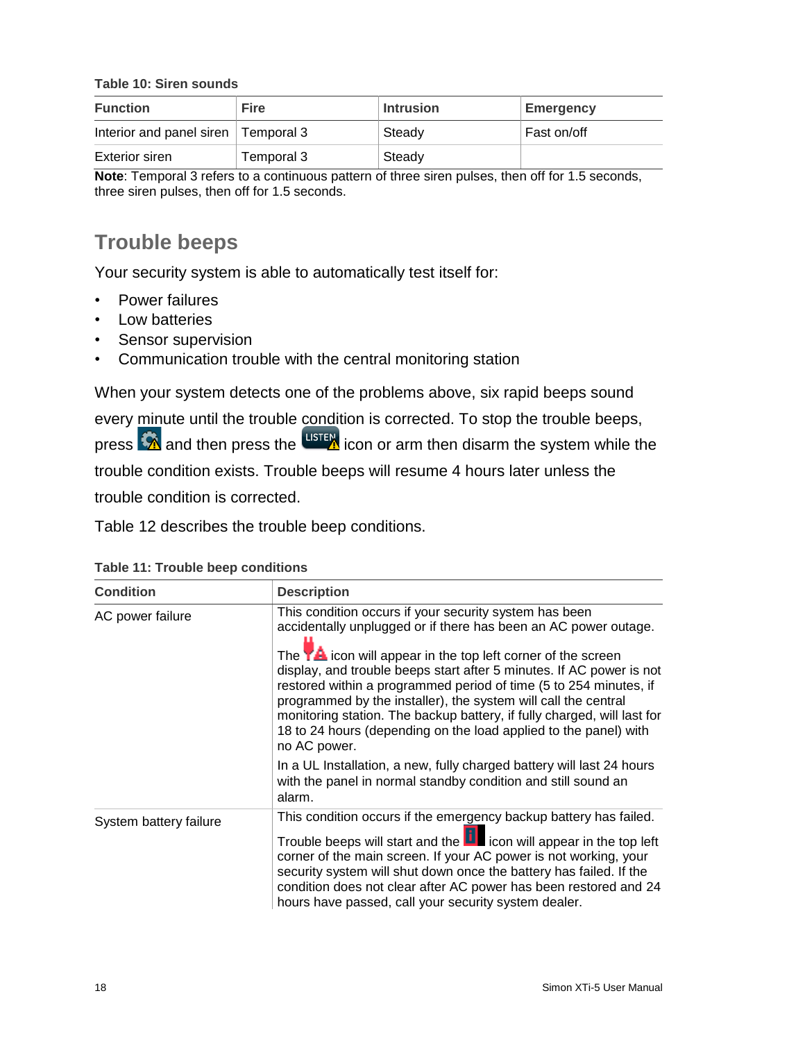**Table 10: Siren sounds**

| <b>Function</b>                       | <b>Fire</b>                                                                                                                                                                                                                         | <b>Intrusion</b> | <b>Emergency</b> |
|---------------------------------------|-------------------------------------------------------------------------------------------------------------------------------------------------------------------------------------------------------------------------------------|------------------|------------------|
| Interior and panel siren   Temporal 3 |                                                                                                                                                                                                                                     | Steady           | Fast on/off      |
| Exterior siren                        | Temporal 3                                                                                                                                                                                                                          | Steady           |                  |
| .<br>$\sim$ $\sim$                    | and the contract of the contract of the contract of the contract of the contract of the contract of the contract of the contract of the contract of the contract of the contract of the contract of the contract of the contra<br>. | .<br>. .         | .<br>.           |

<span id="page-23-0"></span>**Note**: Temporal 3 refers to a continuous pattern of three siren pulses, then off for 1.5 seconds, three siren pulses, then off for 1.5 seconds.

# **Trouble beeps**

Your security system is able to automatically test itself for:

- Power failures
- Low batteries
- Sensor supervision
- Communication trouble with the central monitoring station

When your system detects one of the problems above, six rapid beeps sound

every minute until the trouble condition is corrected. To stop the trouble beeps, press  $\Omega$  and then press the  $\frac{L\text{ISTER}}{L}$  icon or arm then disarm the system while the trouble condition exists. Trouble beeps will resume 4 hours later unless the trouble condition is corrected.

Table 12 describes the trouble beep conditions.

| <b>Condition</b>       | <b>Description</b>                                                                                                                                                                                                                                                                                                                                                                                                                                                                                                                                                                |  |
|------------------------|-----------------------------------------------------------------------------------------------------------------------------------------------------------------------------------------------------------------------------------------------------------------------------------------------------------------------------------------------------------------------------------------------------------------------------------------------------------------------------------------------------------------------------------------------------------------------------------|--|
| AC power failure       | This condition occurs if your security system has been<br>accidentally unplugged or if there has been an AC power outage.<br>The $\mathbf{Y}$ icon will appear in the top left corner of the screen<br>display, and trouble beeps start after 5 minutes. If AC power is not<br>restored within a programmed period of time (5 to 254 minutes, if<br>programmed by the installer), the system will call the central<br>monitoring station. The backup battery, if fully charged, will last for<br>18 to 24 hours (depending on the load applied to the panel) with<br>no AC power. |  |
|                        | In a UL Installation, a new, fully charged battery will last 24 hours<br>with the panel in normal standby condition and still sound an<br>alarm.                                                                                                                                                                                                                                                                                                                                                                                                                                  |  |
| System battery failure | This condition occurs if the emergency backup battery has failed.<br>Trouble beeps will start and the <b>U</b> icon will appear in the top left<br>corner of the main screen. If your AC power is not working, your<br>security system will shut down once the battery has failed. If the<br>condition does not clear after AC power has been restored and 24<br>hours have passed, call your security system dealer.                                                                                                                                                             |  |

**Table 11: Trouble beep conditions**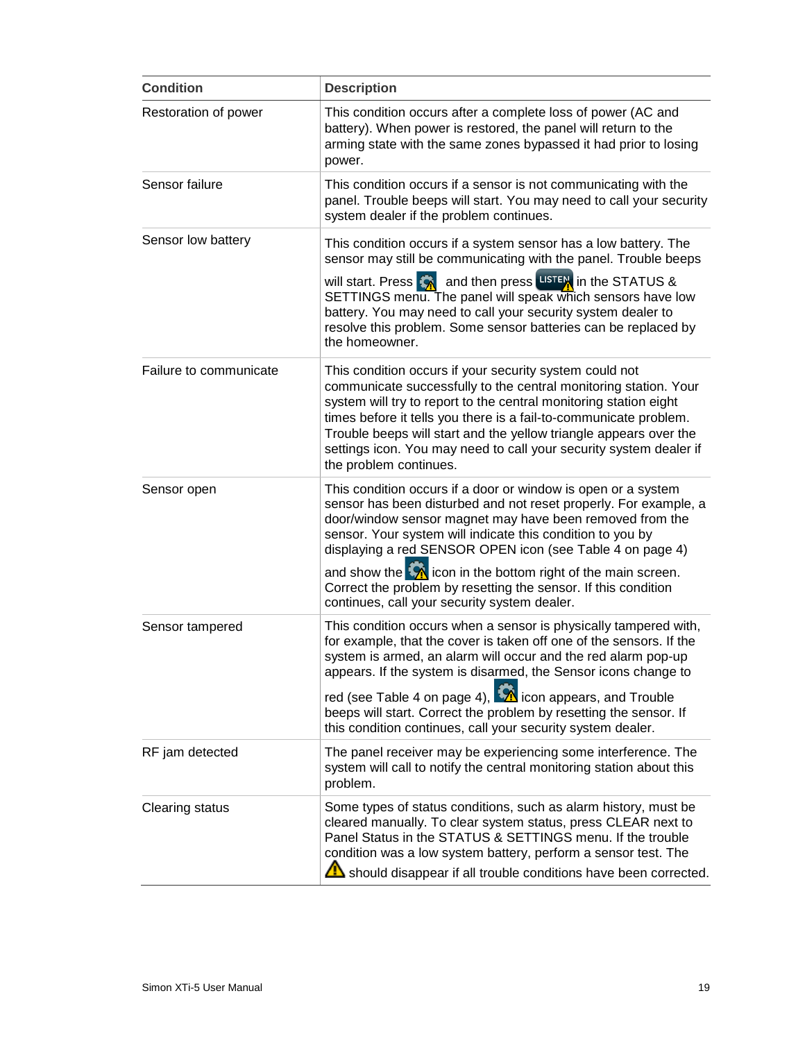| <b>Condition</b>       | <b>Description</b>                                                                                                                                                                                                                                                                                                                                                                                                                         |  |
|------------------------|--------------------------------------------------------------------------------------------------------------------------------------------------------------------------------------------------------------------------------------------------------------------------------------------------------------------------------------------------------------------------------------------------------------------------------------------|--|
| Restoration of power   | This condition occurs after a complete loss of power (AC and<br>battery). When power is restored, the panel will return to the<br>arming state with the same zones bypassed it had prior to losing<br>power.                                                                                                                                                                                                                               |  |
| Sensor failure         | This condition occurs if a sensor is not communicating with the<br>panel. Trouble beeps will start. You may need to call your security<br>system dealer if the problem continues.                                                                                                                                                                                                                                                          |  |
| Sensor low battery     | This condition occurs if a system sensor has a low battery. The<br>sensor may still be communicating with the panel. Trouble beeps                                                                                                                                                                                                                                                                                                         |  |
|                        | will start. Press $\left  \right\rangle$ and then press USTEN in the STATUS &<br>SETTINGS menu. The panel will speak which sensors have low<br>battery. You may need to call your security system dealer to<br>resolve this problem. Some sensor batteries can be replaced by<br>the homeowner.                                                                                                                                            |  |
| Failure to communicate | This condition occurs if your security system could not<br>communicate successfully to the central monitoring station. Your<br>system will try to report to the central monitoring station eight<br>times before it tells you there is a fail-to-communicate problem.<br>Trouble beeps will start and the yellow triangle appears over the<br>settings icon. You may need to call your security system dealer if<br>the problem continues. |  |
| Sensor open            | This condition occurs if a door or window is open or a system<br>sensor has been disturbed and not reset properly. For example, a<br>door/window sensor magnet may have been removed from the<br>sensor. Your system will indicate this condition to you by<br>displaying a red SENSOR OPEN icon (see Table 4 on page 4)<br>and show the $\mathcal{P}_1$ icon in the bottom right of the main screen.                                      |  |
|                        | Correct the problem by resetting the sensor. If this condition<br>continues, call your security system dealer.                                                                                                                                                                                                                                                                                                                             |  |
| Sensor tampered        | This condition occurs when a sensor is physically tampered with,<br>for example, that the cover is taken off one of the sensors. If the<br>system is armed, an alarm will occur and the red alarm pop-up<br>appears. If the system is disarmed, the Sensor icons change to                                                                                                                                                                 |  |
|                        | red (see Table 4 on page 4), $\overline{\mathbf{A}}$ icon appears, and Trouble<br>beeps will start. Correct the problem by resetting the sensor. If<br>this condition continues, call your security system dealer.                                                                                                                                                                                                                         |  |
| RF jam detected        | The panel receiver may be experiencing some interference. The<br>system will call to notify the central monitoring station about this<br>problem.                                                                                                                                                                                                                                                                                          |  |
| <b>Clearing status</b> | Some types of status conditions, such as alarm history, must be<br>cleared manually. To clear system status, press CLEAR next to<br>Panel Status in the STATUS & SETTINGS menu. If the trouble<br>condition was a low system battery, perform a sensor test. The<br>Should disappear if all trouble conditions have been corrected.                                                                                                        |  |
|                        |                                                                                                                                                                                                                                                                                                                                                                                                                                            |  |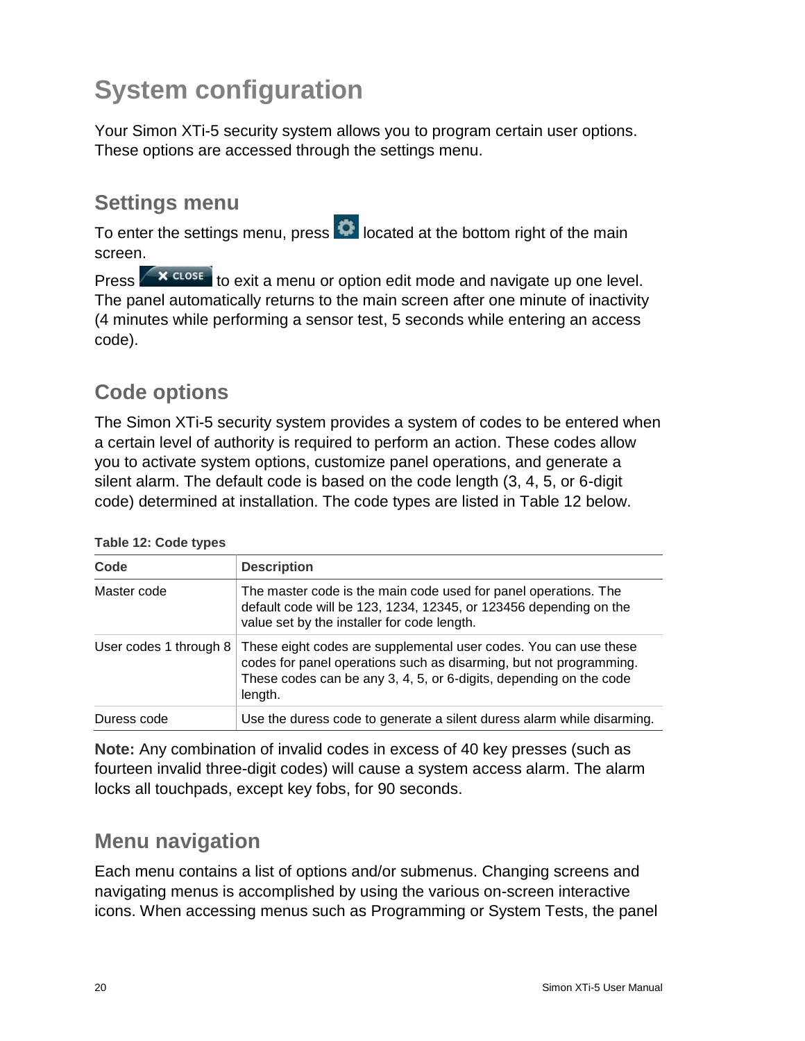# <span id="page-25-0"></span>**System configuration**

Your Simon XTi-5 security system allows you to program certain user options. These options are accessed through the settings menu.

# <span id="page-25-1"></span>**Settings menu**

To enter the settings menu, press **O** located at the bottom right of the main screen.

Press  $\left\langle \right. \times$   $\cos \left( \right)$  to exit a menu or option edit mode and navigate up one level. The panel automatically returns to the main screen after one minute of inactivity (4 minutes while performing a sensor test, 5 seconds while entering an access code).

# <span id="page-25-2"></span>**Code options**

The Simon XTi-5 security system provides a system of codes to be entered when a certain level of authority is required to perform an action. These codes allow you to activate system options, customize panel operations, and generate a silent alarm. The default code is based on the code length (3, 4, 5, or 6-digit code) determined at installation. The code types are listed in Table 12 below.

| Code                   | <b>Description</b>                                                                                                                                                                                                      |
|------------------------|-------------------------------------------------------------------------------------------------------------------------------------------------------------------------------------------------------------------------|
| Master code            | The master code is the main code used for panel operations. The<br>default code will be 123, 1234, 12345, or 123456 depending on the<br>value set by the installer for code length.                                     |
| User codes 1 through 8 | These eight codes are supplemental user codes. You can use these<br>codes for panel operations such as disarming, but not programming.<br>These codes can be any 3, 4, 5, or 6-digits, depending on the code<br>length. |
| Duress code            | Use the duress code to generate a silent duress alarm while disarming.                                                                                                                                                  |

**Table 12: Code types**

**Note:** Any combination of invalid codes in excess of 40 key presses (such as fourteen invalid three-digit codes) will cause a system access alarm. The alarm locks all touchpads, except key fobs, for 90 seconds.

# <span id="page-25-3"></span>**Menu navigation**

Each menu contains a list of options and/or submenus. Changing screens and navigating menus is accomplished by using the various on-screen interactive icons. When accessing menus such as Programming or System Tests, the panel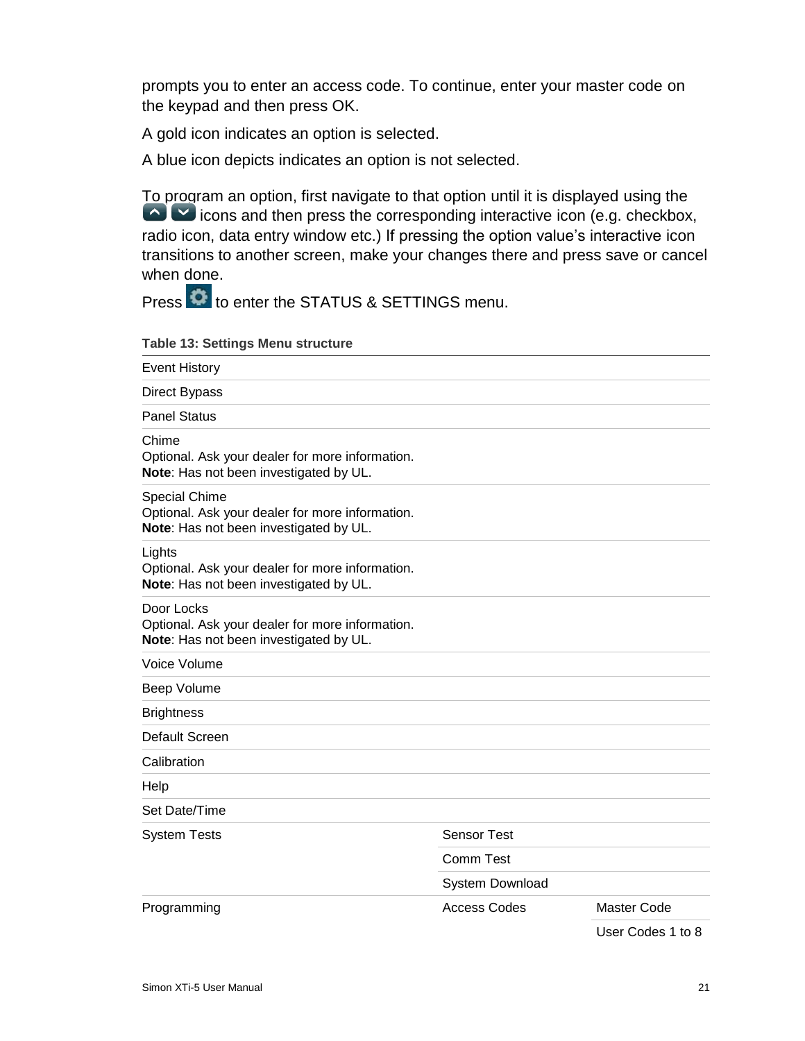prompts you to enter an access code. To continue, enter your master code on the keypad and then press OK.

A gold icon indicates an option is selected.

A blue icon depicts indicates an option is not selected.

To program an option, first navigate to that option until it is displayed using the icons and then press the corresponding interactive icon (e.g. checkbox, radio icon, data entry window etc.) If pressing the option value's interactive icon transitions to another screen, make your changes there and press save or cancel when done.

Press  $\overline{\textbf{C}}$  to enter the STATUS & SETTINGS menu.

**Table 13: Settings Menu structure**

| <b>Event History</b>                                                                                       |                     |                    |
|------------------------------------------------------------------------------------------------------------|---------------------|--------------------|
| <b>Direct Bypass</b>                                                                                       |                     |                    |
| <b>Panel Status</b>                                                                                        |                     |                    |
| Chime<br>Optional. Ask your dealer for more information.<br>Note: Has not been investigated by UL.         |                     |                    |
| Special Chime<br>Optional. Ask your dealer for more information.<br>Note: Has not been investigated by UL. |                     |                    |
| Lights<br>Optional. Ask your dealer for more information.<br>Note: Has not been investigated by UL.        |                     |                    |
| Door Locks<br>Optional. Ask your dealer for more information.<br>Note: Has not been investigated by UL.    |                     |                    |
| Voice Volume                                                                                               |                     |                    |
| Beep Volume                                                                                                |                     |                    |
| <b>Brightness</b>                                                                                          |                     |                    |
| Default Screen                                                                                             |                     |                    |
| Calibration                                                                                                |                     |                    |
| Help                                                                                                       |                     |                    |
| Set Date/Time                                                                                              |                     |                    |
| <b>System Tests</b>                                                                                        | <b>Sensor Test</b>  |                    |
|                                                                                                            | Comm Test           |                    |
|                                                                                                            | System Download     |                    |
| Programming                                                                                                | <b>Access Codes</b> | <b>Master Code</b> |
|                                                                                                            |                     | User Codes 1 to 8  |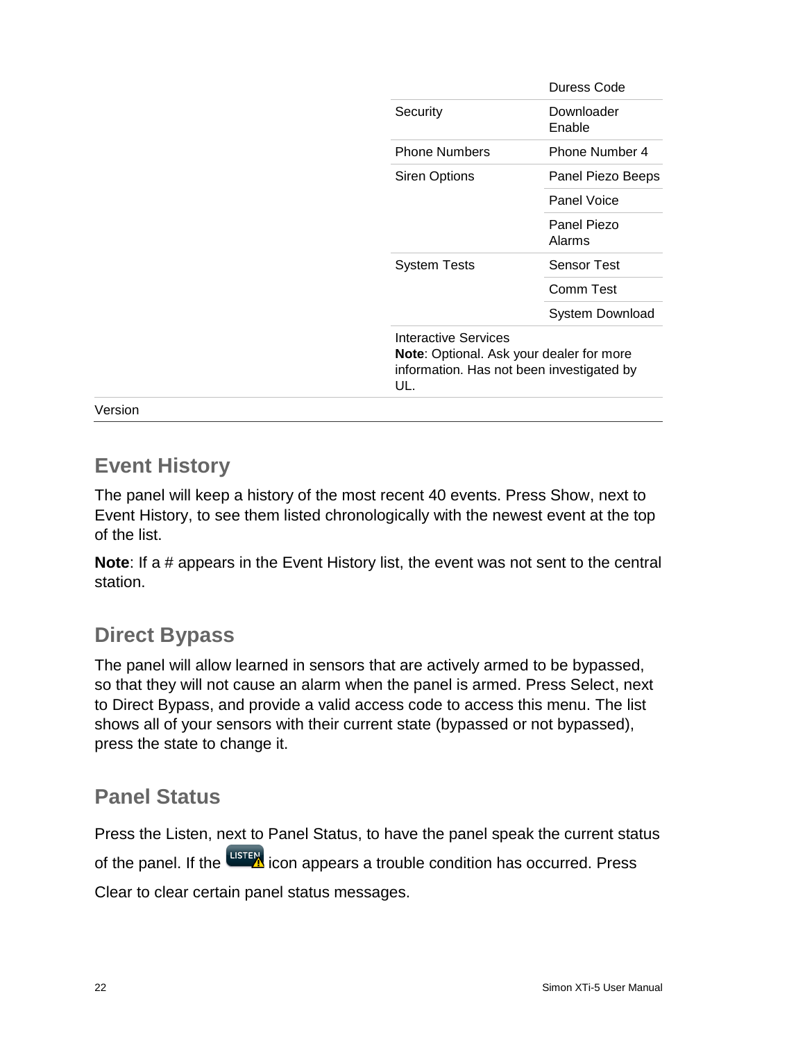| Duress Code                                                                                  |
|----------------------------------------------------------------------------------------------|
| Downloader<br>Enable                                                                         |
| Phone Number 4                                                                               |
| Panel Piezo Beeps                                                                            |
| Panel Voice                                                                                  |
| Panel Piezo<br>Alarms                                                                        |
| Sensor Test                                                                                  |
| Comm Test                                                                                    |
| System Download                                                                              |
| <b>Note:</b> Optional. Ask your dealer for more<br>information. Has not been investigated by |
|                                                                                              |

<span id="page-27-0"></span>Version

# **Event History**

The panel will keep a history of the most recent 40 events. Press Show, next to Event History, to see them listed chronologically with the newest event at the top of the list.

**Note:** If a # appears in the Event History list, the event was not sent to the central station.

# <span id="page-27-1"></span>**Direct Bypass**

The panel will allow learned in sensors that are actively armed to be bypassed, so that they will not cause an alarm when the panel is armed. Press Select, next to Direct Bypass, and provide a valid access code to access this menu. The list shows all of your sensors with their current state (bypassed or not bypassed), press the state to change it.

# <span id="page-27-2"></span>**Panel Status**

Press the Listen, next to Panel Status, to have the panel speak the current status of the panel. If the uster icon appears a trouble condition has occurred. Press Clear to clear certain panel status messages.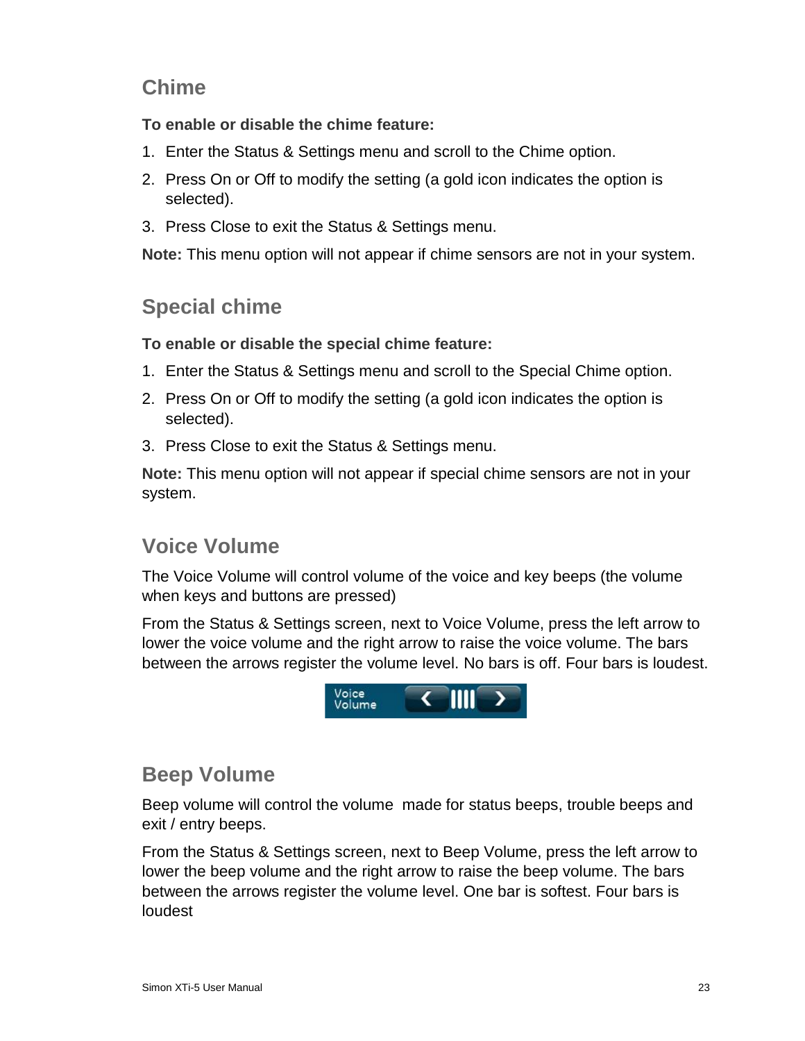# <span id="page-28-0"></span>**Chime**

**To enable or disable the chime feature:**

- 1. Enter the Status & Settings menu and scroll to the Chime option.
- 2. Press On or Off to modify the setting (a gold icon indicates the option is selected).
- 3. Press Close to exit the Status & Settings menu.

<span id="page-28-1"></span>**Note:** This menu option will not appear if chime sensors are not in your system.

# **Special chime**

**To enable or disable the special chime feature:**

- 1. Enter the Status & Settings menu and scroll to the Special Chime option.
- 2. Press On or Off to modify the setting (a gold icon indicates the option is selected).
- 3. Press Close to exit the Status & Settings menu.

**Note:** This menu option will not appear if special chime sensors are not in your system.

# <span id="page-28-2"></span>**Voice Volume**

The Voice Volume will control volume of the voice and key beeps (the volume when keys and buttons are pressed)

From the Status & Settings screen, next to Voice Volume, press the left arrow to lower the voice volume and the right arrow to raise the voice volume. The bars between the arrows register the volume level. No bars is off. Four bars is loudest.



### <span id="page-28-3"></span>**Beep Volume**

Beep volume will control the volume made for status beeps, trouble beeps and exit / entry beeps.

From the Status & Settings screen, next to Beep Volume, press the left arrow to lower the beep volume and the right arrow to raise the beep volume. The bars between the arrows register the volume level. One bar is softest. Four bars is loudest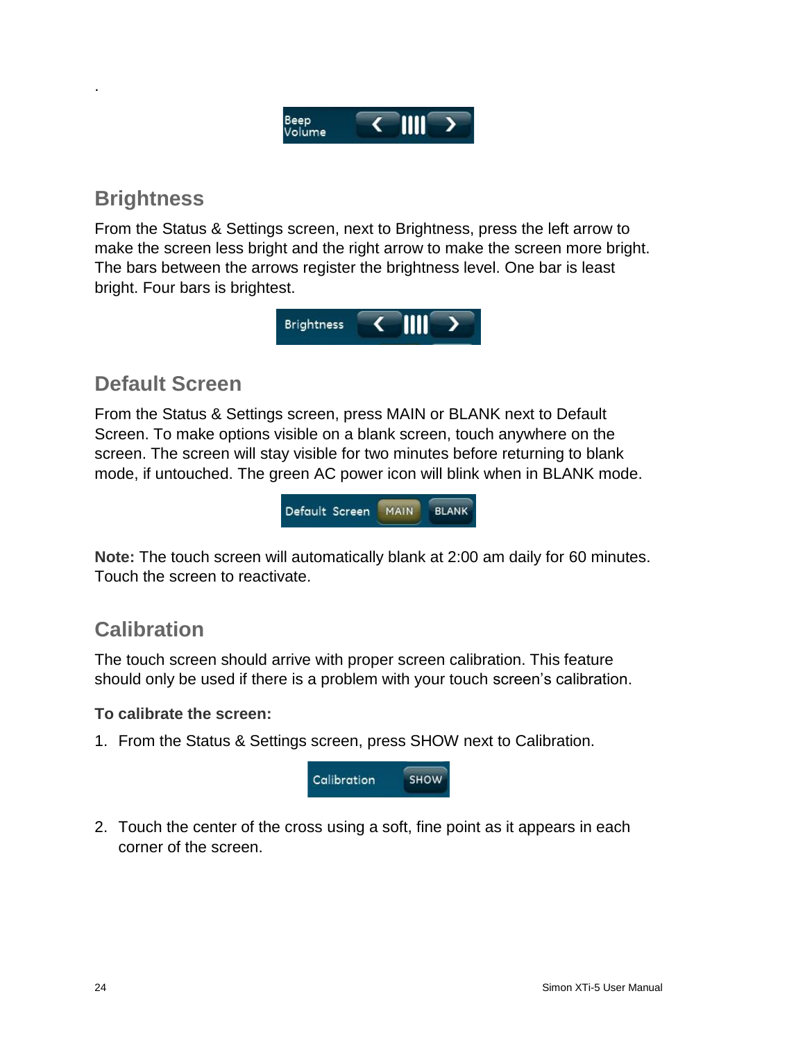

# <span id="page-29-0"></span>**Brightness**

.

From the Status & Settings screen, next to Brightness, press the left arrow to make the screen less bright and the right arrow to make the screen more bright. The bars between the arrows register the brightness level. One bar is least bright. Four bars is brightest.



# <span id="page-29-1"></span>**Default Screen**

From the Status & Settings screen, press MAIN or BLANK next to Default Screen. To make options visible on a blank screen, touch anywhere on the screen. The screen will stay visible for two minutes before returning to blank mode, if untouched. The green AC power icon will blink when in BLANK mode.



**Note:** The touch screen will automatically blank at 2:00 am daily for 60 minutes. Touch the screen to reactivate.

# <span id="page-29-2"></span>**Calibration**

The touch screen should arrive with proper screen calibration. This feature should only be used if there is a problem with your touch screen's calibration.

#### **To calibrate the screen:**

1. From the Status & Settings screen, press SHOW next to Calibration.



2. Touch the center of the cross using a soft, fine point as it appears in each corner of the screen.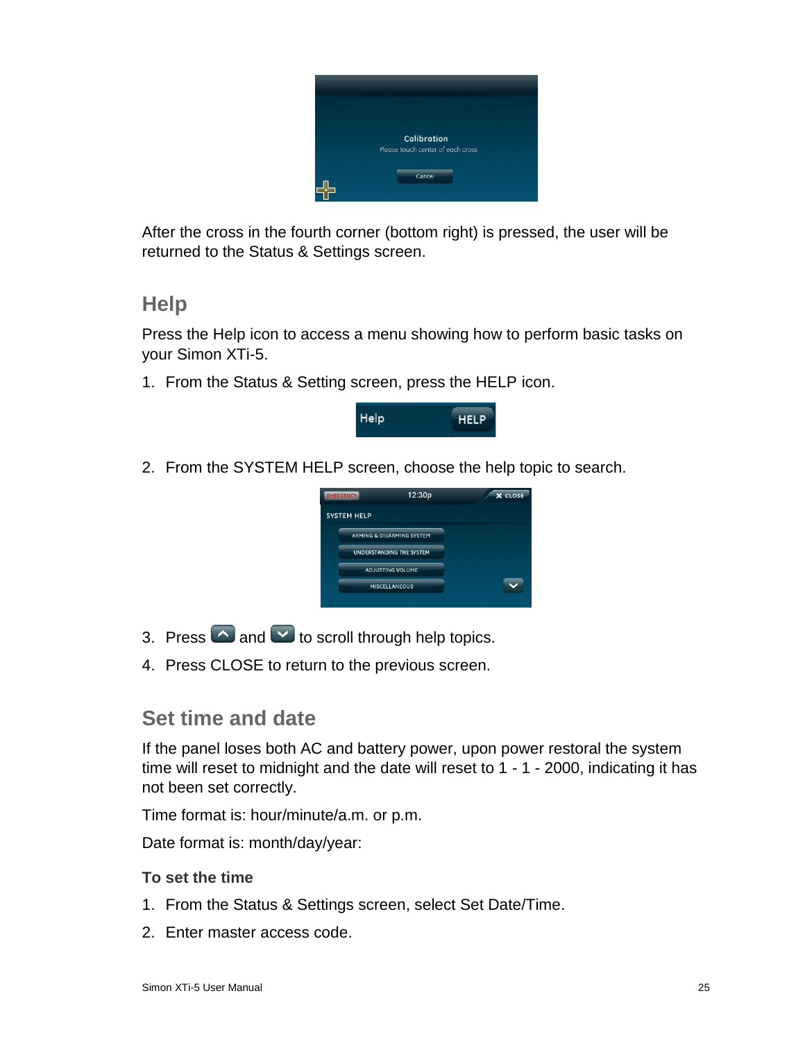

After the cross in the fourth corner (bottom right) is pressed, the user will be returned to the Status & Settings screen.

### <span id="page-30-0"></span>**Help**

Press the Help icon to access a menu showing how to perform basic tasks on your Simon XTi-5.

1. From the Status & Setting screen, press the HELP icon.



2. From the SYSTEM HELP screen, choose the help topic to search.



- 3. Press  $\bigcirc$  and  $\bigcirc$  to scroll through help topics.
- <span id="page-30-1"></span>4. Press CLOSE to return to the previous screen.

### **Set time and date**

If the panel loses both AC and battery power, upon power restoral the system time will reset to midnight and the date will reset to 1 - 1 - 2000, indicating it has not been set correctly.

Time format is: hour/minute/a.m. or p.m.

Date format is: month/day/year:

#### **To set the time**

- 1. From the Status & Settings screen, select Set Date/Time.
- 2. Enter master access code.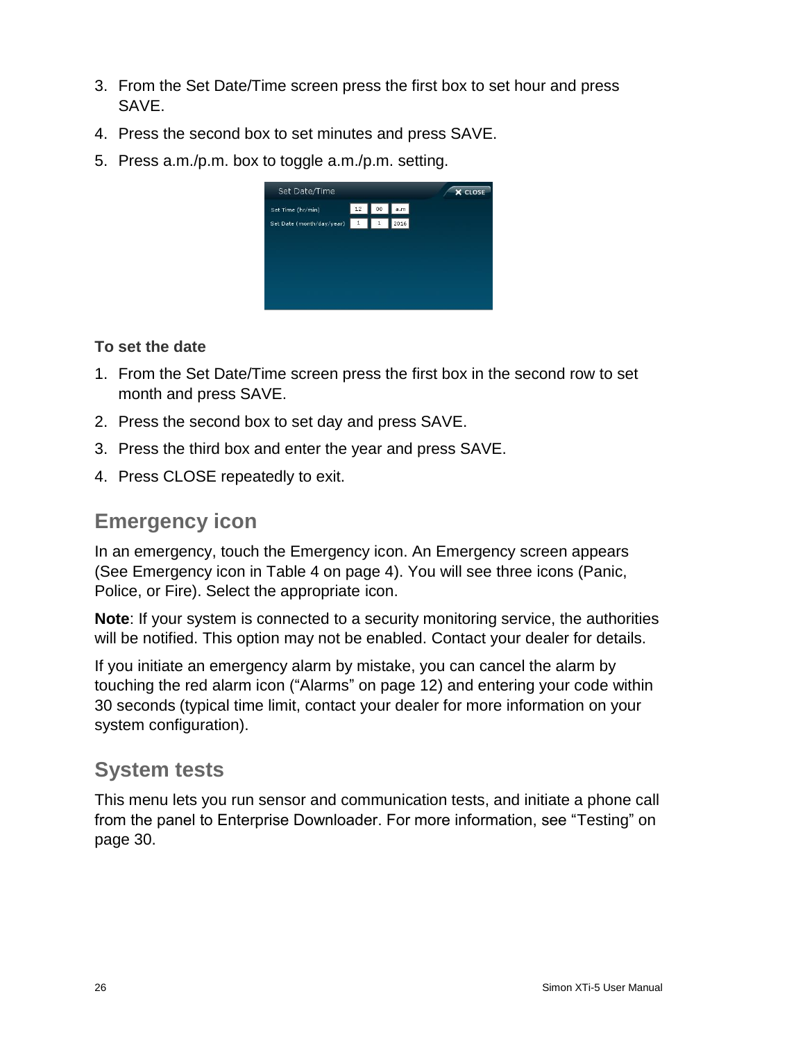- 3. From the Set Date/Time screen press the first box to set hour and press SAVE.
- 4. Press the second box to set minutes and press SAVE.
- 5. Press a.m./p.m. box to toggle a.m./p.m. setting.



#### **To set the date**

- 1. From the Set Date/Time screen press the first box in the second row to set month and press SAVE.
- 2. Press the second box to set day and press SAVE.
- 3. Press the third box and enter the year and press SAVE.
- <span id="page-31-0"></span>4. Press CLOSE repeatedly to exit.

# **Emergency icon**

In an emergency, touch the Emergency icon. An Emergency screen appears (See Emergency icon in Table 4 on page 4). You will see three icons (Panic, Police, or Fire). Select the appropriate icon.

**Note**: If your system is connected to a security monitoring service, the authorities will be notified. This option may not be enabled. Contact your dealer for details.

If you initiate an emergency alarm by mistake, you can cancel the alarm by touching the red alarm icon ("Alarms" on page 12) and entering your code within 30 seconds (typical time limit, contact your dealer for more information on your system configuration).

# <span id="page-31-1"></span>**System tests**

This menu lets you run sensor and communication tests, and initiate a phone call from the panel to Enterprise Downloader. For more information, see "Testing" on page 30.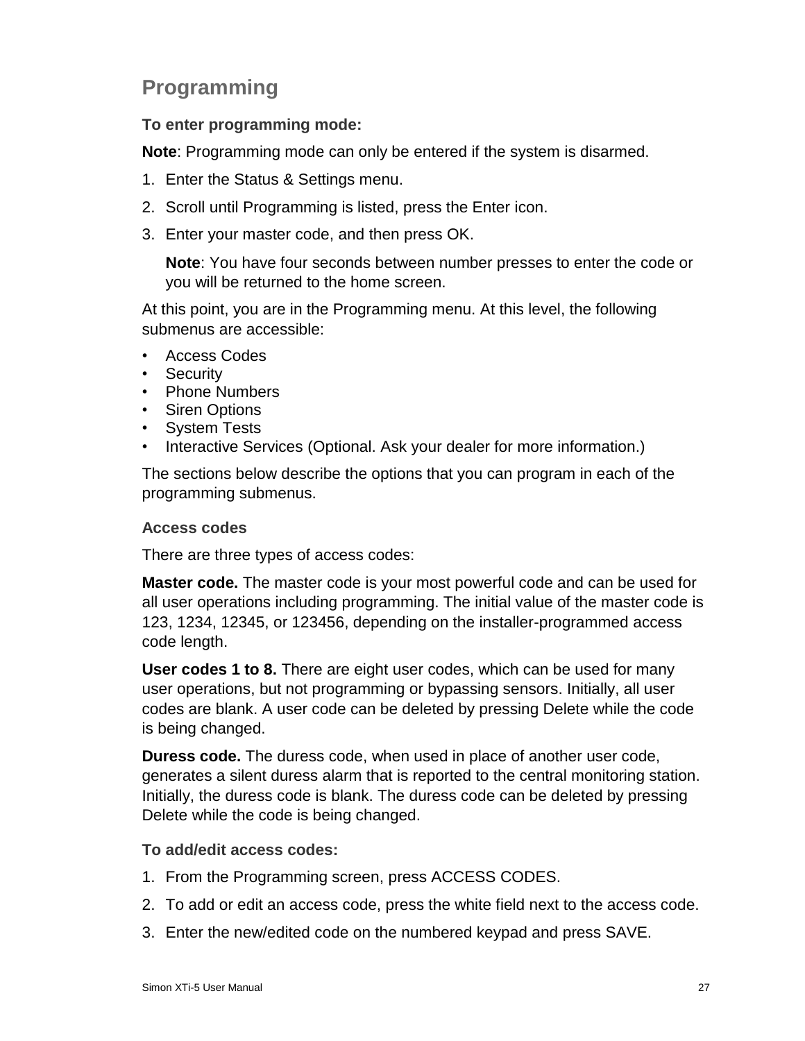# <span id="page-32-0"></span>**Programming**

#### **To enter programming mode:**

**Note**: Programming mode can only be entered if the system is disarmed.

- 1. Enter the Status & Settings menu.
- 2. Scroll until Programming is listed, press the Enter icon.
- 3. Enter your master code, and then press OK.

**Note**: You have four seconds between number presses to enter the code or you will be returned to the home screen.

At this point, you are in the Programming menu. At this level, the following submenus are accessible:

- Access Codes
- Security
- Phone Numbers
- Siren Options
- System Tests
- Interactive Services (Optional. Ask your dealer for more information.)

The sections below describe the options that you can program in each of the programming submenus.

#### <span id="page-32-1"></span>**Access codes**

There are three types of access codes:

**Master code.** The master code is your most powerful code and can be used for all user operations including programming. The initial value of the master code is 123, 1234, 12345, or 123456, depending on the installer-programmed access code length.

**User codes 1 to 8.** There are eight user codes, which can be used for many user operations, but not programming or bypassing sensors. Initially, all user codes are blank. A user code can be deleted by pressing Delete while the code is being changed.

**Duress code.** The duress code, when used in place of another user code, generates a silent duress alarm that is reported to the central monitoring station. Initially, the duress code is blank. The duress code can be deleted by pressing Delete while the code is being changed.

#### **To add/edit access codes:**

- 1. From the Programming screen, press ACCESS CODES.
- 2. To add or edit an access code, press the white field next to the access code.
- 3. Enter the new/edited code on the numbered keypad and press SAVE.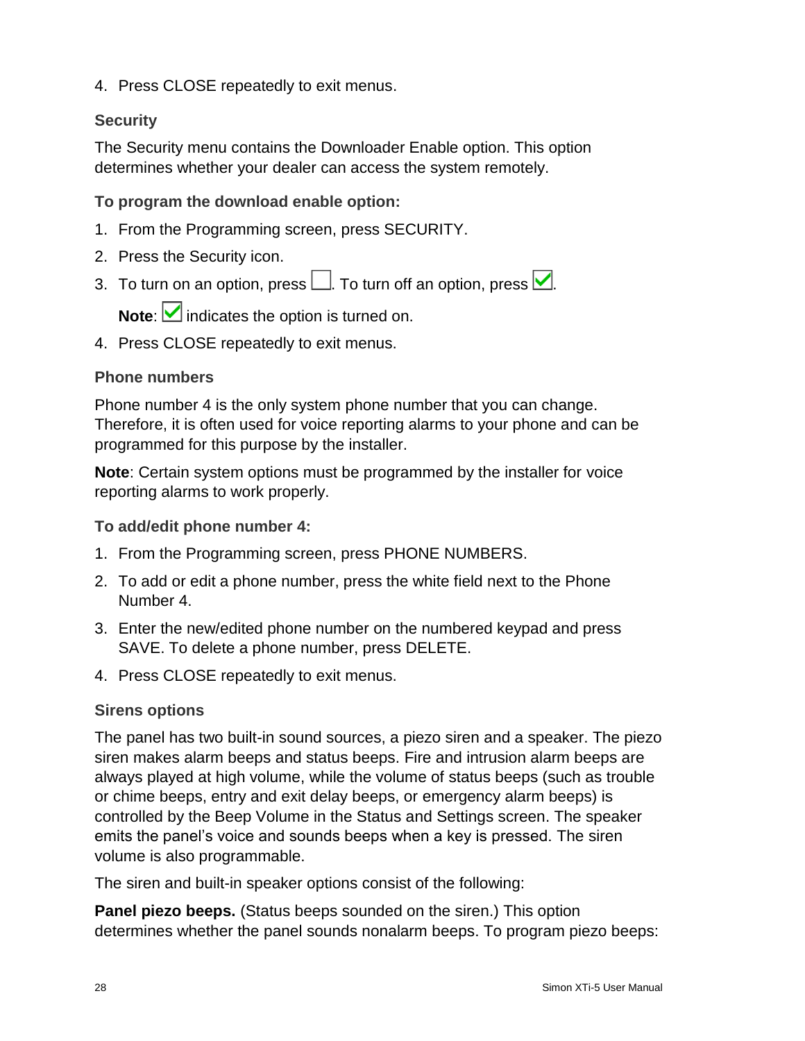4. Press CLOSE repeatedly to exit menus.

#### <span id="page-33-0"></span>**Security**

The Security menu contains the Downloader Enable option. This option determines whether your dealer can access the system remotely.

**To program the download enable option:**

- 1. From the Programming screen, press SECURITY.
- 2. Press the Security icon.
- 3. To turn on an option, press  $\Box$ . To turn off an option, press  $\Box$ .

**Note:** indicates the option is turned on.

4. Press CLOSE repeatedly to exit menus.

#### <span id="page-33-1"></span>**Phone numbers**

Phone number 4 is the only system phone number that you can change. Therefore, it is often used for voice reporting alarms to your phone and can be programmed for this purpose by the installer.

**Note**: Certain system options must be programmed by the installer for voice reporting alarms to work properly.

**To add/edit phone number 4:**

- 1. From the Programming screen, press PHONE NUMBERS.
- 2. To add or edit a phone number, press the white field next to the Phone Number 4.
- 3. Enter the new/edited phone number on the numbered keypad and press SAVE. To delete a phone number, press DELETE.
- 4. Press CLOSE repeatedly to exit menus.

#### <span id="page-33-2"></span>**Sirens options**

The panel has two built-in sound sources, a piezo siren and a speaker. The piezo siren makes alarm beeps and status beeps. Fire and intrusion alarm beeps are always played at high volume, while the volume of status beeps (such as trouble or chime beeps, entry and exit delay beeps, or emergency alarm beeps) is controlled by the Beep Volume in the Status and Settings screen. The speaker emits the panel's voice and sounds beeps when a key is pressed. The siren volume is also programmable.

The siren and built-in speaker options consist of the following:

**Panel piezo beeps.** (Status beeps sounded on the siren.) This option determines whether the panel sounds nonalarm beeps. To program piezo beeps: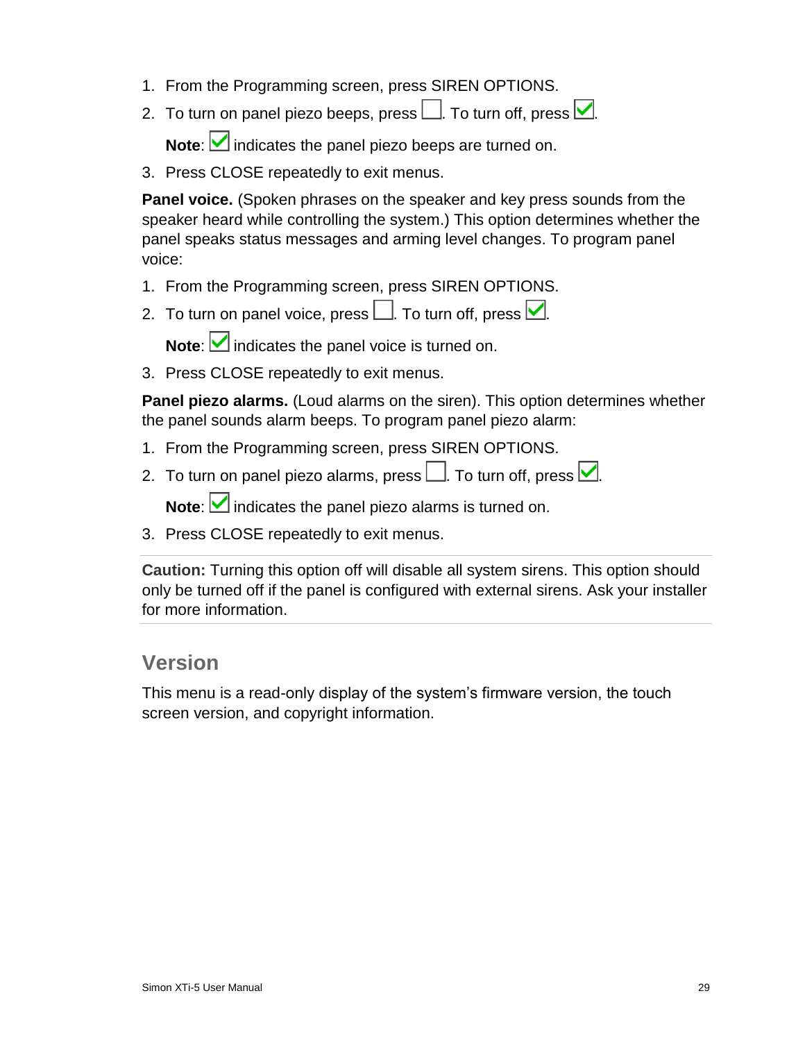- 1. From the Programming screen, press SIREN OPTIONS.
- 2. To turn on panel piezo beeps, press  $\Box$ . To turn off, press  $\Box$ .

Note: **indicates the panel piezo beeps are turned on.** 

3. Press CLOSE repeatedly to exit menus.

**Panel voice.** (Spoken phrases on the speaker and key press sounds from the speaker heard while controlling the system.) This option determines whether the panel speaks status messages and arming level changes. To program panel voice:

- 1. From the Programming screen, press SIREN OPTIONS.
- 2. To turn on panel voice, press  $\Box$ . To turn off, press  $\Box$ .

**Note:** indicates the panel voice is turned on.

3. Press CLOSE repeatedly to exit menus.

**Panel piezo alarms.** (Loud alarms on the siren). This option determines whether the panel sounds alarm beeps. To program panel piezo alarm:

- 1. From the Programming screen, press SIREN OPTIONS.
- 2. To turn on panel piezo alarms, press  $\Box$ . To turn off, press  $\Box$ .

Note: **indicates the panel piezo alarms is turned on.** 

3. Press CLOSE repeatedly to exit menus.

**Caution:** Turning this option off will disable all system sirens. This option should only be turned off if the panel is configured with external sirens. Ask your installer for more information.

#### <span id="page-34-0"></span>**Version**

This menu is a read-only display of the system's firmware version, the touch screen version, and copyright information.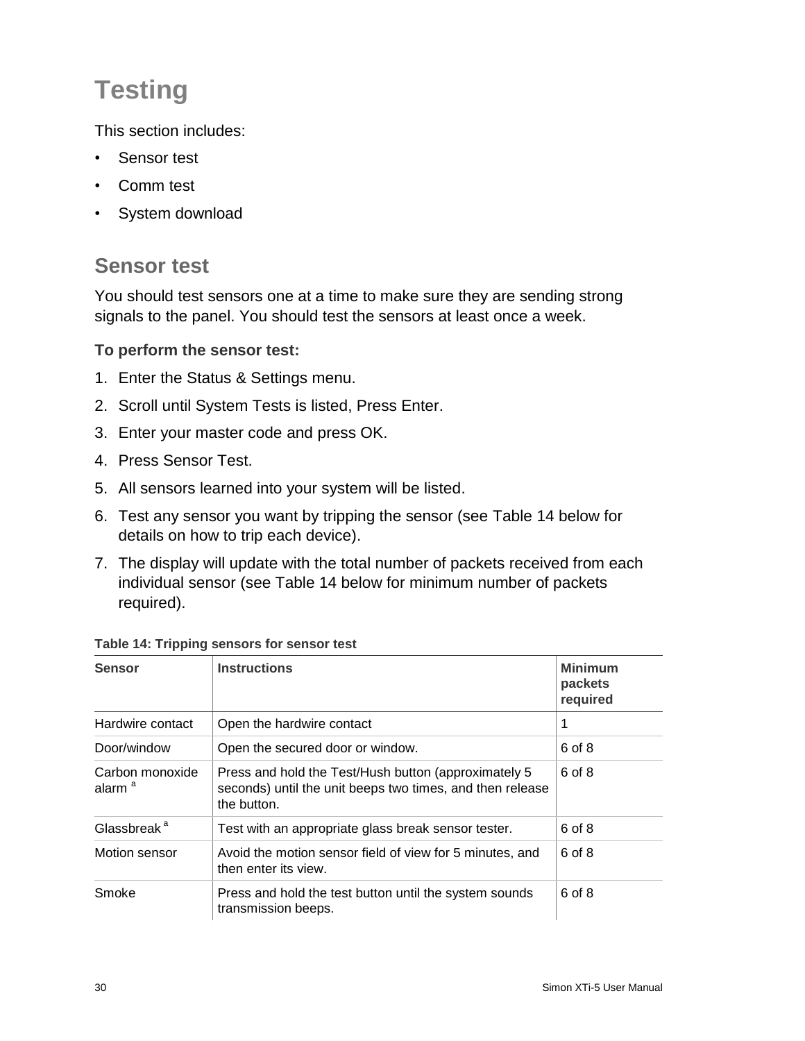# <span id="page-35-0"></span>**Testing**

This section includes:

- Sensor test
- Comm test
- <span id="page-35-1"></span>• System download

# **Sensor test**

You should test sensors one at a time to make sure they are sending strong signals to the panel. You should test the sensors at least once a week.

#### **To perform the sensor test:**

- 1. Enter the Status & Settings menu.
- 2. Scroll until System Tests is listed, Press Enter.
- 3. Enter your master code and press OK.
- 4. Press Sensor Test.
- 5. All sensors learned into your system will be listed.
- 6. Test any sensor you want by tripping the sensor (see Table 14 below for details on how to trip each device).
- 7. The display will update with the total number of packets received from each individual sensor (see Table 14 below for minimum number of packets required).

| <b>Sensor</b>                         | <b>Instructions</b>                                                                                                              | <b>Minimum</b><br>packets<br>required |
|---------------------------------------|----------------------------------------------------------------------------------------------------------------------------------|---------------------------------------|
| Hardwire contact                      | Open the hardwire contact                                                                                                        | 1                                     |
| Door/window                           | Open the secured door or window.                                                                                                 | 6 of 8                                |
| Carbon monoxide<br>alarm <sup>a</sup> | Press and hold the Test/Hush button (approximately 5<br>seconds) until the unit beeps two times, and then release<br>the button. | 6 of 8                                |
| Glassbreak <sup>a</sup>               | Test with an appropriate glass break sensor tester.                                                                              | 6 of 8                                |
| Motion sensor                         | Avoid the motion sensor field of view for 5 minutes, and<br>then enter its view.                                                 | 6 of 8                                |
| Smoke                                 | Press and hold the test button until the system sounds<br>transmission beeps.                                                    | 6 of 8                                |

**Table 14: Tripping sensors for sensor test**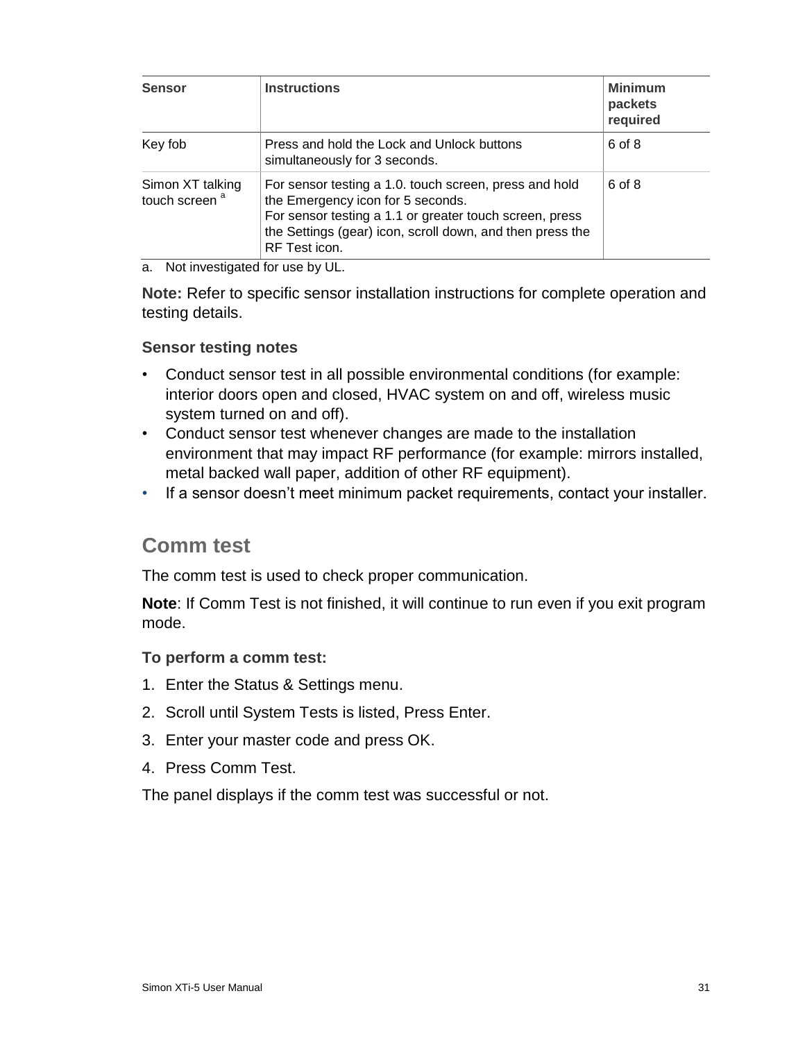| <b>Sensor</b>                                 | <b>Instructions</b>                                                                                                                                                                                                                  | <b>Minimum</b><br>packets<br>required |
|-----------------------------------------------|--------------------------------------------------------------------------------------------------------------------------------------------------------------------------------------------------------------------------------------|---------------------------------------|
| Key fob                                       | Press and hold the Lock and Unlock buttons<br>simultaneously for 3 seconds.                                                                                                                                                          | 6 of 8                                |
| Simon XT talking<br>touch screen <sup>a</sup> | For sensor testing a 1.0. touch screen, press and hold<br>the Emergency icon for 5 seconds.<br>For sensor testing a 1.1 or greater touch screen, press<br>the Settings (gear) icon, scroll down, and then press the<br>RF Test icon. | 6 of 8                                |

a. Not investigated for use by UL.

**Note:** Refer to specific sensor installation instructions for complete operation and testing details.

#### <span id="page-36-0"></span>**Sensor testing notes**

- Conduct sensor test in all possible environmental conditions (for example: interior doors open and closed, HVAC system on and off, wireless music system turned on and off).
- Conduct sensor test whenever changes are made to the installation environment that may impact RF performance (for example: mirrors installed, metal backed wall paper, addition of other RF equipment).
- <span id="page-36-1"></span>• If a sensor doesn't meet minimum packet requirements, contact your installer.

### **Comm test**

The comm test is used to check proper communication.

**Note**: If Comm Test is not finished, it will continue to run even if you exit program mode.

**To perform a comm test:**

- 1. Enter the Status & Settings menu.
- 2. Scroll until System Tests is listed, Press Enter.
- 3. Enter your master code and press OK.
- <span id="page-36-2"></span>4. Press Comm Test.

The panel displays if the comm test was successful or not.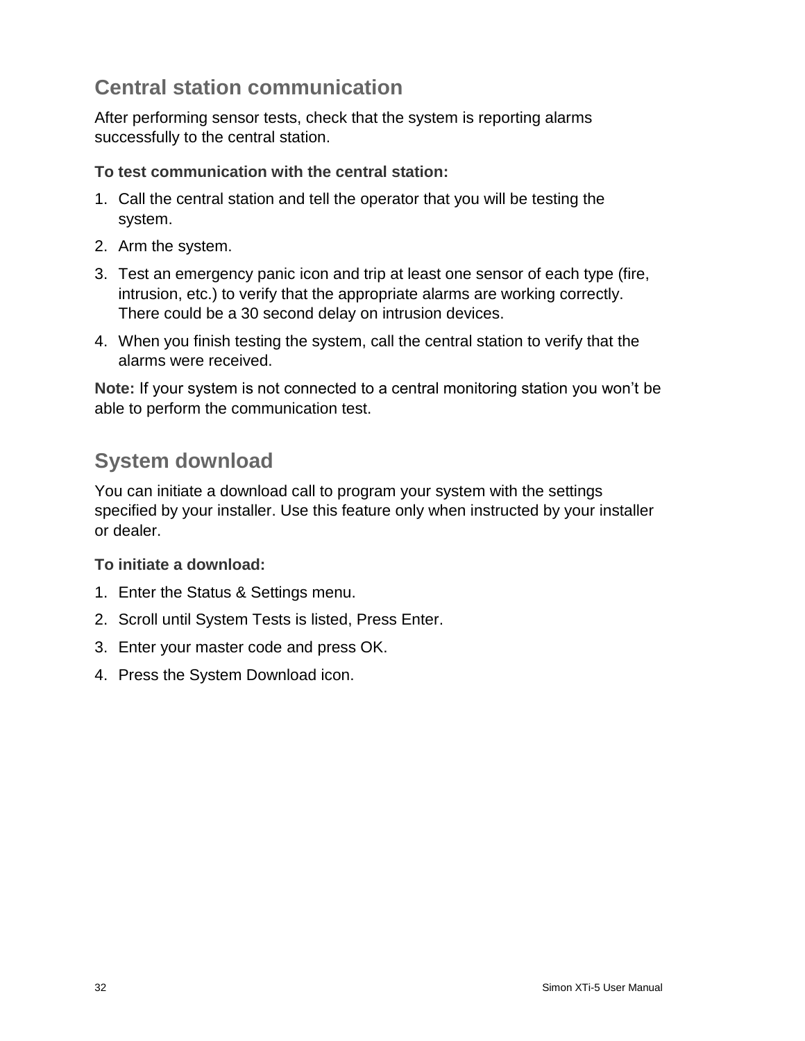# **Central station communication**

After performing sensor tests, check that the system is reporting alarms successfully to the central station.

#### **To test communication with the central station:**

- 1. Call the central station and tell the operator that you will be testing the system.
- 2. Arm the system.
- 3. Test an emergency panic icon and trip at least one sensor of each type (fire, intrusion, etc.) to verify that the appropriate alarms are working correctly. There could be a 30 second delay on intrusion devices.
- 4. When you finish testing the system, call the central station to verify that the alarms were received.

**Note:** If your system is not connected to a central monitoring station you won't be able to perform the communication test.

# <span id="page-37-0"></span>**System download**

You can initiate a download call to program your system with the settings specified by your installer. Use this feature only when instructed by your installer or dealer.

#### **To initiate a download:**

- 1. Enter the Status & Settings menu.
- 2. Scroll until System Tests is listed, Press Enter.
- 3. Enter your master code and press OK.
- 4. Press the System Download icon.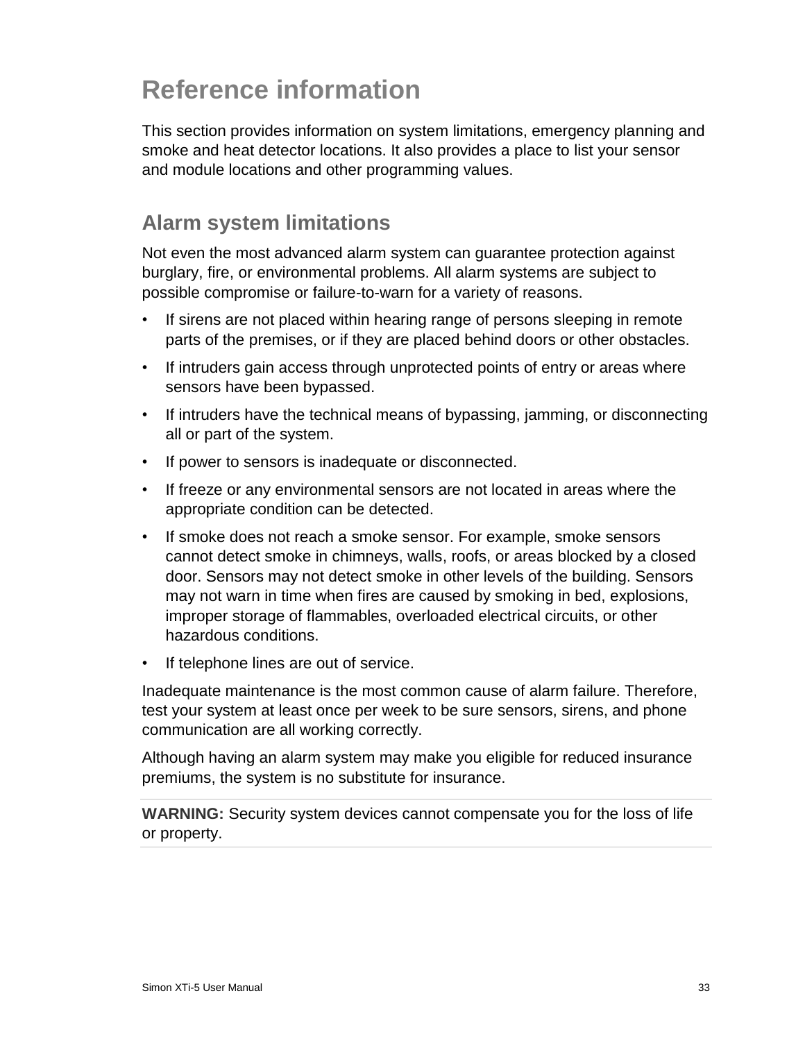# <span id="page-38-0"></span>**Reference information**

This section provides information on system limitations, emergency planning and smoke and heat detector locations. It also provides a place to list your sensor and module locations and other programming values.

# <span id="page-38-1"></span>**Alarm system limitations**

Not even the most advanced alarm system can guarantee protection against burglary, fire, or environmental problems. All alarm systems are subject to possible compromise or failure-to-warn for a variety of reasons.

- If sirens are not placed within hearing range of persons sleeping in remote parts of the premises, or if they are placed behind doors or other obstacles.
- If intruders gain access through unprotected points of entry or areas where sensors have been bypassed.
- If intruders have the technical means of bypassing, jamming, or disconnecting all or part of the system.
- If power to sensors is inadequate or disconnected.
- If freeze or any environmental sensors are not located in areas where the appropriate condition can be detected.
- If smoke does not reach a smoke sensor. For example, smoke sensors cannot detect smoke in chimneys, walls, roofs, or areas blocked by a closed door. Sensors may not detect smoke in other levels of the building. Sensors may not warn in time when fires are caused by smoking in bed, explosions, improper storage of flammables, overloaded electrical circuits, or other hazardous conditions.
- If telephone lines are out of service.

Inadequate maintenance is the most common cause of alarm failure. Therefore, test your system at least once per week to be sure sensors, sirens, and phone communication are all working correctly.

Although having an alarm system may make you eligible for reduced insurance premiums, the system is no substitute for insurance.

**WARNING:** Security system devices cannot compensate you for the loss of life or property.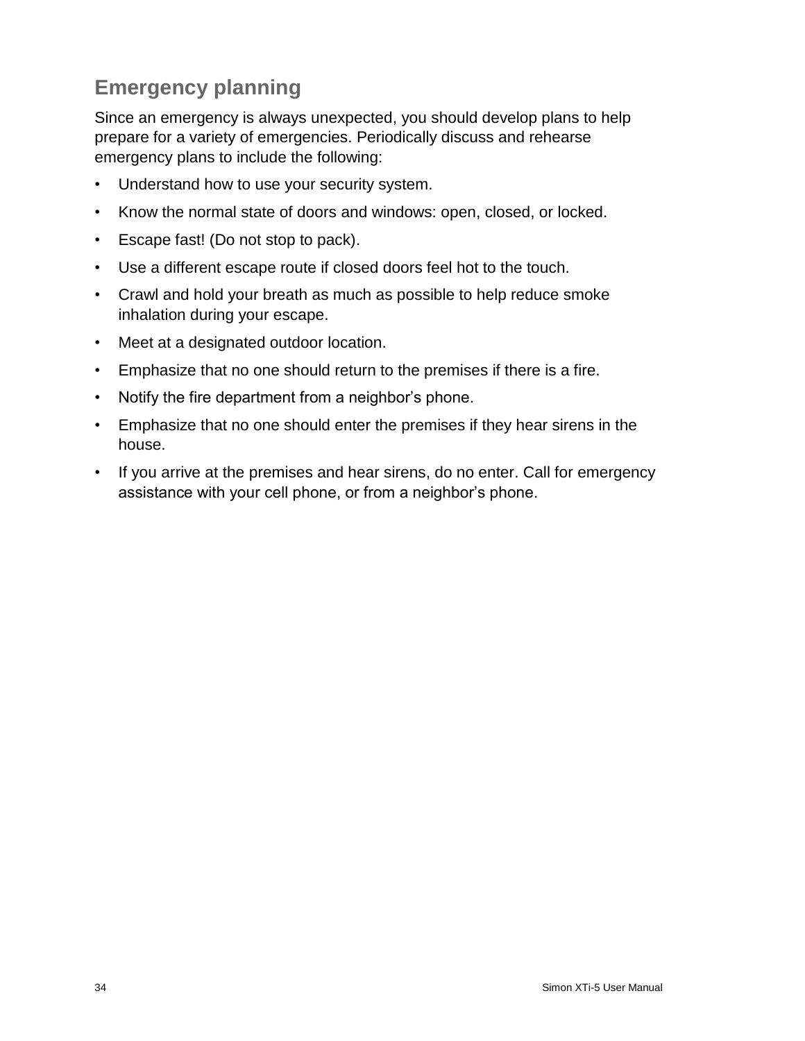# <span id="page-39-0"></span>**Emergency planning**

Since an emergency is always unexpected, you should develop plans to help prepare for a variety of emergencies. Periodically discuss and rehearse emergency plans to include the following:

- Understand how to use your security system.
- Know the normal state of doors and windows: open, closed, or locked.
- Escape fast! (Do not stop to pack).
- Use a different escape route if closed doors feel hot to the touch.
- Crawl and hold your breath as much as possible to help reduce smoke inhalation during your escape.
- Meet at a designated outdoor location.
- Emphasize that no one should return to the premises if there is a fire.
- Notify the fire department from a neighbor's phone.
- Emphasize that no one should enter the premises if they hear sirens in the house.
- If you arrive at the premises and hear sirens, do no enter. Call for emergency assistance with your cell phone, or from a neighbor's phone.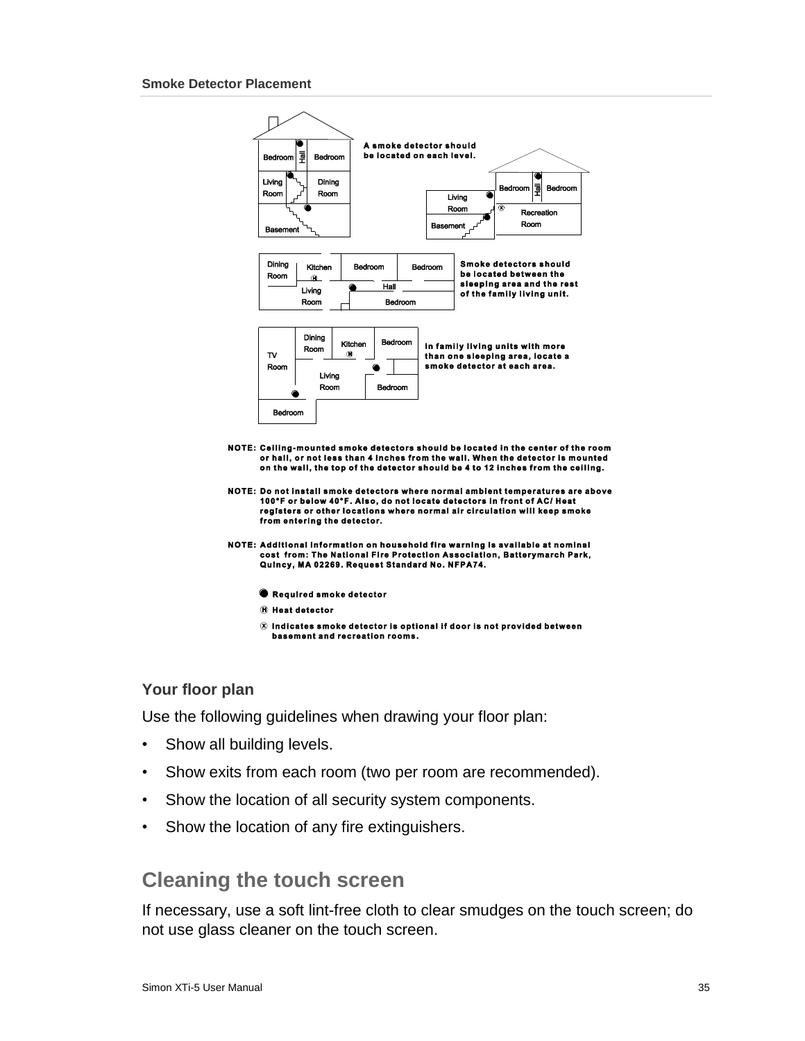

- Required smoke detector
- **(h)** Heat detector
- $\circledR$  Indicates smoke detector is optional if door is not provided between basement and recreation rooms.

#### <span id="page-40-0"></span>**Your floor plan**

Use the following guidelines when drawing your floor plan:

- Show all building levels.
- Show exits from each room (two per room are recommended).
- Show the location of all security system components.
- <span id="page-40-1"></span>• Show the location of any fire extinguishers.

### **Cleaning the touch screen**

If necessary, use a soft lint-free cloth to clear smudges on the touch screen; do not use glass cleaner on the touch screen.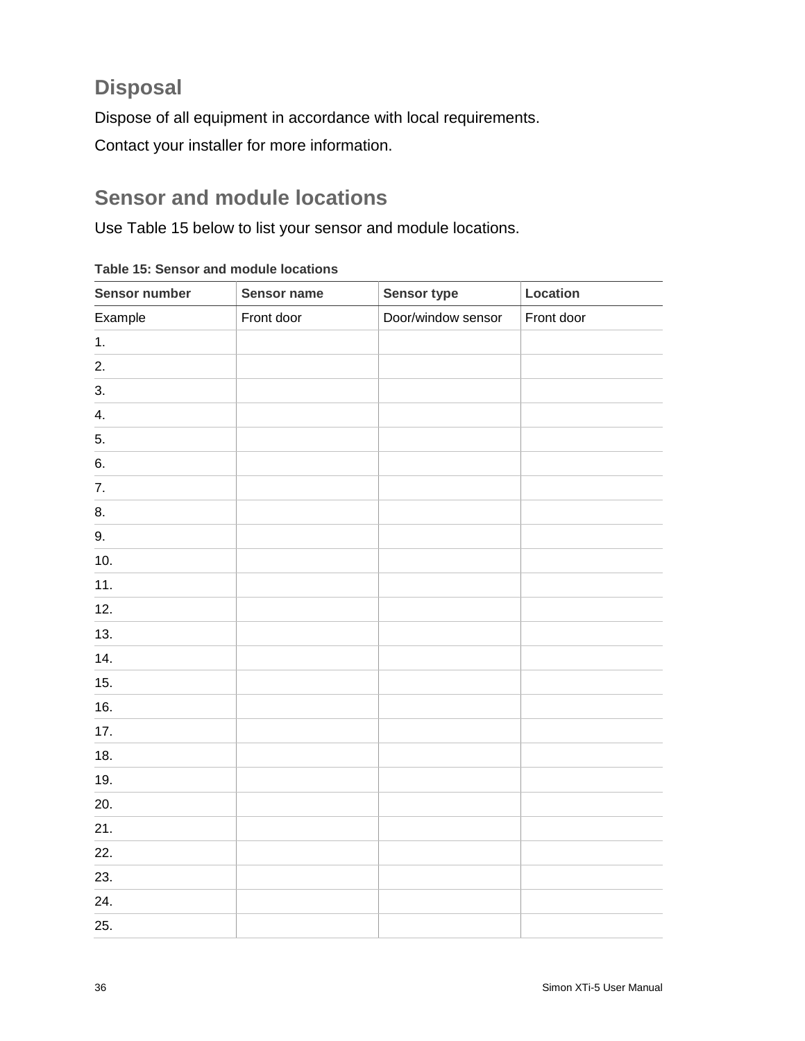# <span id="page-41-0"></span>**Disposal**

Dispose of all equipment in accordance with local requirements. Contact your installer for more information.

# <span id="page-41-1"></span>**Sensor and module locations**

Use Table 15 below to list your sensor and module locations.

| Sensor number  | Sensor name | Sensor type        | Location   |
|----------------|-------------|--------------------|------------|
| Example        | Front door  | Door/window sensor | Front door |
| $\mathbf{1}$ . |             |                    |            |
| 2.             |             |                    |            |
| 3.             |             |                    |            |
| 4.             |             |                    |            |
| 5.             |             |                    |            |
| 6.             |             |                    |            |
| 7.             |             |                    |            |
| 8.             |             |                    |            |
| 9.             |             |                    |            |
| 10.            |             |                    |            |
| 11.            |             |                    |            |
| 12.            |             |                    |            |
| 13.            |             |                    |            |
| 14.            |             |                    |            |
| 15.            |             |                    |            |
| 16.            |             |                    |            |
| 17.            |             |                    |            |
| 18.            |             |                    |            |
| 19.            |             |                    |            |
| 20.            |             |                    |            |
| 21.            |             |                    |            |
| 22.            |             |                    |            |
| 23.            |             |                    |            |
| 24.            |             |                    |            |
| 25.            |             |                    |            |

**Table 15: Sensor and module locations**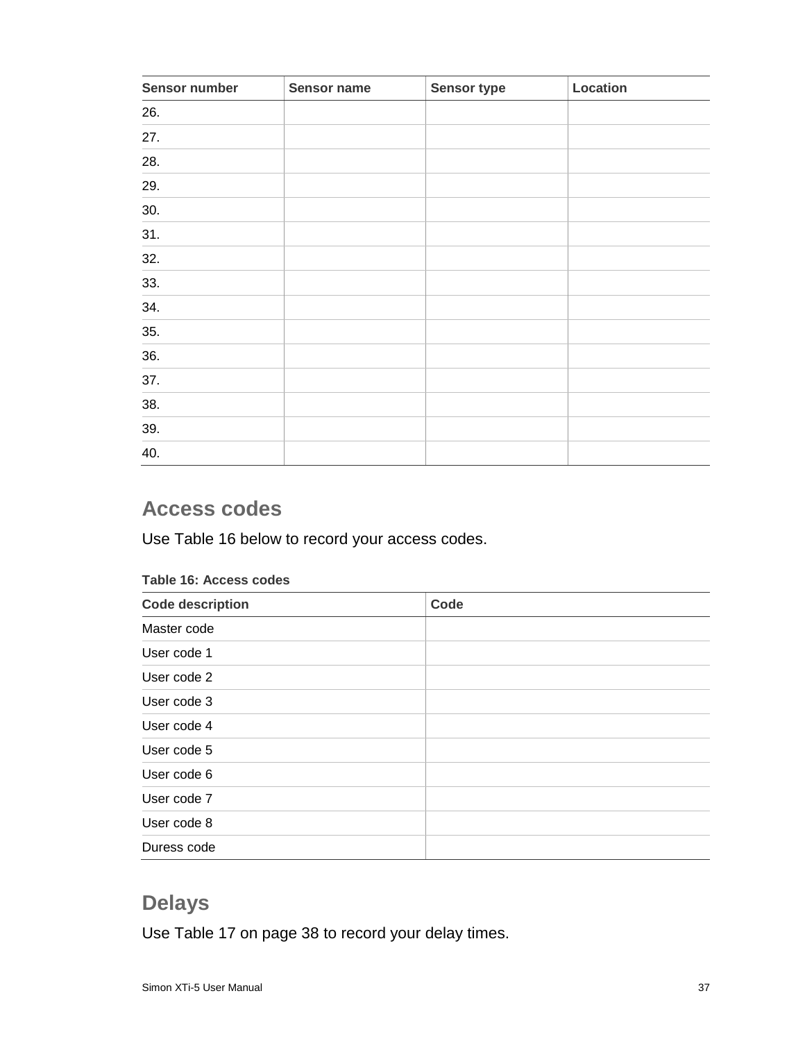| Sensor number | Sensor name | Sensor type | Location |
|---------------|-------------|-------------|----------|
| 26.           |             |             |          |
| 27.           |             |             |          |
| 28.           |             |             |          |
| 29.           |             |             |          |
| 30.           |             |             |          |
| 31.           |             |             |          |
| 32.           |             |             |          |
| 33.           |             |             |          |
| 34.           |             |             |          |
| 35.           |             |             |          |
| 36.           |             |             |          |
| 37.           |             |             |          |
| 38.           |             |             |          |
| 39.           |             |             |          |
| 40.           |             |             |          |

# <span id="page-42-0"></span>**Access codes**

Use Table 16 below to record your access codes.

| , apio , o, <i>,</i> ,ooooo ooaoo |      |  |
|-----------------------------------|------|--|
| <b>Code description</b>           | Code |  |
| Master code                       |      |  |
| User code 1                       |      |  |
| User code 2                       |      |  |
| User code 3                       |      |  |
| User code 4                       |      |  |
| User code 5                       |      |  |
| User code 6                       |      |  |
| User code 7                       |      |  |
| User code 8                       |      |  |
| Duress code                       |      |  |

#### **Table 16: Access codes**

# <span id="page-42-1"></span>**Delays**

Use Table 17 on page 38 to record your delay times.